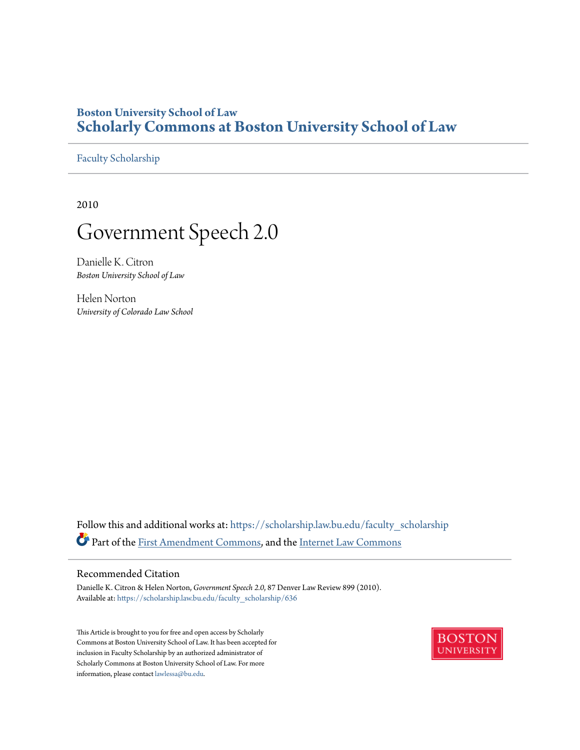# **Boston University School of Law [Scholarly Commons at Boston University School of Law](https://scholarship.law.bu.edu?utm_source=scholarship.law.bu.edu%2Ffaculty_scholarship%2F636&utm_medium=PDF&utm_campaign=PDFCoverPages)**

[Faculty Scholarship](https://scholarship.law.bu.edu/faculty_scholarship?utm_source=scholarship.law.bu.edu%2Ffaculty_scholarship%2F636&utm_medium=PDF&utm_campaign=PDFCoverPages)

2010

# Government Speech 2.0

Danielle K. Citron *Boston University School of Law*

Helen Norton *University of Colorado Law School*

Follow this and additional works at: [https://scholarship.law.bu.edu/faculty\\_scholarship](https://scholarship.law.bu.edu/faculty_scholarship?utm_source=scholarship.law.bu.edu%2Ffaculty_scholarship%2F636&utm_medium=PDF&utm_campaign=PDFCoverPages) Part of the [First Amendment Commons,](http://network.bepress.com/hgg/discipline/1115?utm_source=scholarship.law.bu.edu%2Ffaculty_scholarship%2F636&utm_medium=PDF&utm_campaign=PDFCoverPages) and the [Internet Law Commons](http://network.bepress.com/hgg/discipline/892?utm_source=scholarship.law.bu.edu%2Ffaculty_scholarship%2F636&utm_medium=PDF&utm_campaign=PDFCoverPages)

#### Recommended Citation

Danielle K. Citron & Helen Norton, *Government Speech 2.0*, 87 Denver Law Review 899 (2010). Available at: [https://scholarship.law.bu.edu/faculty\\_scholarship/636](https://scholarship.law.bu.edu/faculty_scholarship/636?utm_source=scholarship.law.bu.edu%2Ffaculty_scholarship%2F636&utm_medium=PDF&utm_campaign=PDFCoverPages)

This Article is brought to you for free and open access by Scholarly Commons at Boston University School of Law. It has been accepted for inclusion in Faculty Scholarship by an authorized administrator of Scholarly Commons at Boston University School of Law. For more information, please contact [lawlessa@bu.edu.](mailto:lawlessa@bu.edu)

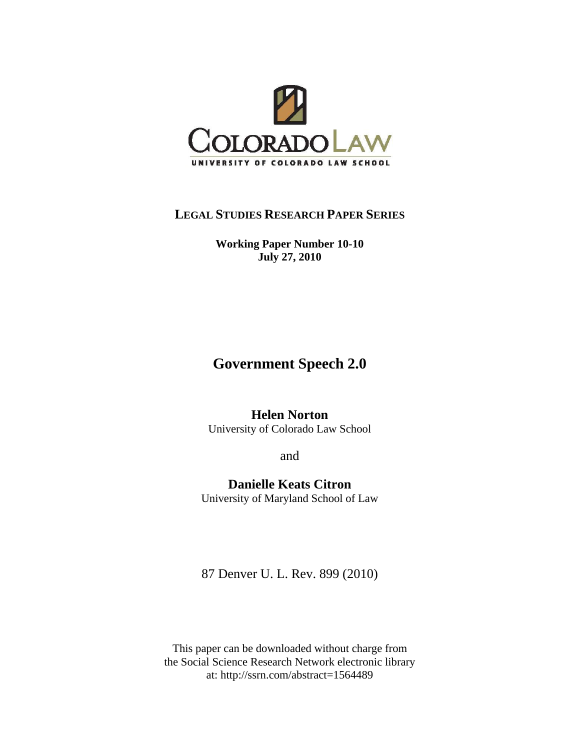

# **LEGAL STUDIES RESEARCH PAPER SERIES**

**Working Paper Number 10-10 July 27, 2010** 

# **Government Speech 2.0**

# **Helen Norton**

University of Colorado Law School

and

**Danielle Keats Citron**  University of Maryland School of Law

87 Denver U. L. Rev. 899 (2010)

This paper can be downloaded without charge from the Social Science Research Network electronic library at: http://ssrn.com/abstract=1564489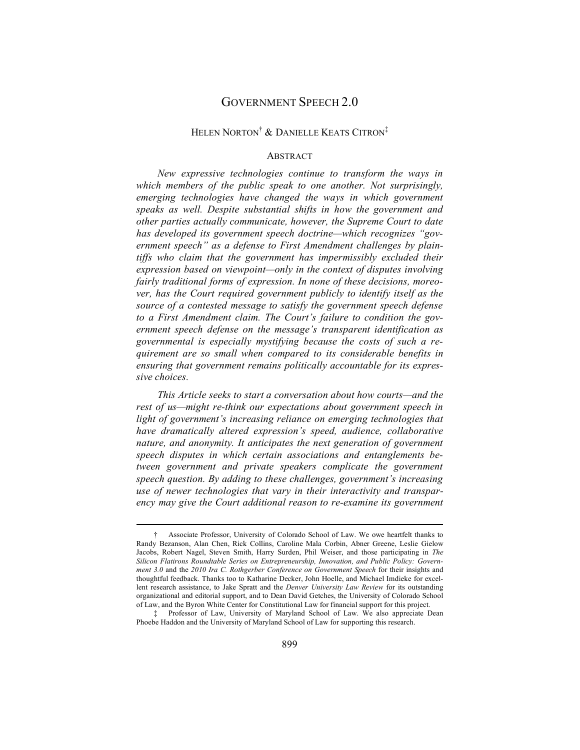### GOVERNMENT SPEECH 2.0

#### HELEN NORTON† & DANIELLE KEATS CITRON‡

#### **ABSTRACT**

*New expressive technologies continue to transform the ways in which members of the public speak to one another. Not surprisingly, emerging technologies have changed the ways in which government speaks as well. Despite substantial shifts in how the government and other parties actually communicate, however, the Supreme Court to date has developed its government speech doctrine—which recognizes "government speech" as a defense to First Amendment challenges by plaintiffs who claim that the government has impermissibly excluded their expression based on viewpoint—only in the context of disputes involving fairly traditional forms of expression. In none of these decisions, moreover, has the Court required government publicly to identify itself as the source of a contested message to satisfy the government speech defense to a First Amendment claim. The Court's failure to condition the government speech defense on the message's transparent identification as governmental is especially mystifying because the costs of such a requirement are so small when compared to its considerable benefits in ensuring that government remains politically accountable for its expressive choices.* 

*This Article seeks to start a conversation about how courts—and the rest of us—might re-think our expectations about government speech in light of government's increasing reliance on emerging technologies that have dramatically altered expression's speed, audience, collaborative nature, and anonymity. It anticipates the next generation of government speech disputes in which certain associations and entanglements between government and private speakers complicate the government speech question. By adding to these challenges, government's increasing use of newer technologies that vary in their interactivity and transparency may give the Court additional reason to re-examine its government* 

<sup>†</sup> Associate Professor, University of Colorado School of Law. We owe heartfelt thanks to Randy Bezanson, Alan Chen, Rick Collins, Caroline Mala Corbin, Abner Greene, Leslie Gielow Jacobs, Robert Nagel, Steven Smith, Harry Surden, Phil Weiser, and those participating in *The Silicon Flatirons Roundtable Series on Entrepreneurship, Innovation, and Public Policy: Government 3.0* and the *2010 Ira C. Rothgerber Conference on Government Speech* for their insights and thoughtful feedback. Thanks too to Katharine Decker, John Hoelle, and Michael Imdieke for excellent research assistance, to Jake Spratt and the *Denver University Law Review* for its outstanding organizational and editorial support, and to Dean David Getches, the University of Colorado School of Law, and the Byron White Center for Constitutional Law for financial support for this project.

<sup>‡</sup> Professor of Law, University of Maryland School of Law. We also appreciate Dean Phoebe Haddon and the University of Maryland School of Law for supporting this research.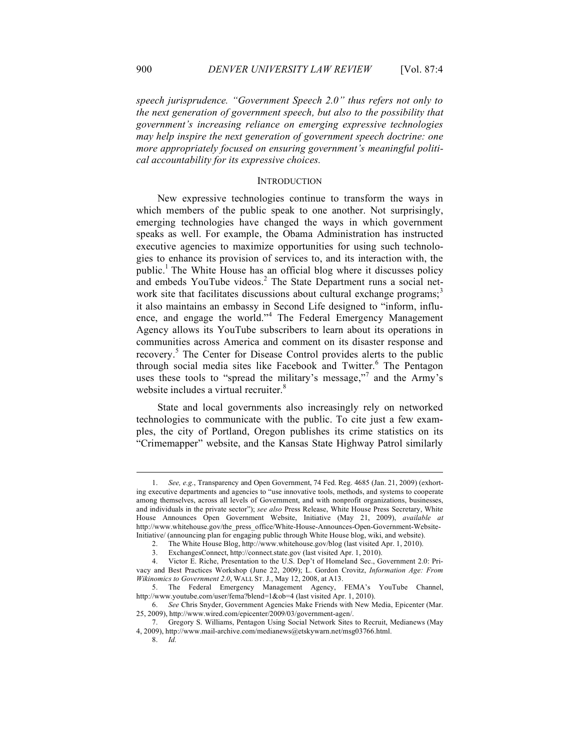*speech jurisprudence. "Government Speech 2.0" thus refers not only to the next generation of government speech, but also to the possibility that government's increasing reliance on emerging expressive technologies may help inspire the next generation of government speech doctrine: one more appropriately focused on ensuring government's meaningful political accountability for its expressive choices.* 

#### INTRODUCTION

New expressive technologies continue to transform the ways in which members of the public speak to one another. Not surprisingly, emerging technologies have changed the ways in which government speaks as well. For example, the Obama Administration has instructed executive agencies to maximize opportunities for using such technologies to enhance its provision of services to, and its interaction with, the public.<sup>1</sup> The White House has an official blog where it discusses policy and embeds YouTube videos.<sup>2</sup> The State Department runs a social network site that facilitates discussions about cultural exchange programs;<sup>3</sup> it also maintains an embassy in Second Life designed to "inform, influence, and engage the world."<sup>4</sup> The Federal Emergency Management Agency allows its YouTube subscribers to learn about its operations in communities across America and comment on its disaster response and recovery.<sup>5</sup> The Center for Disease Control provides alerts to the public through social media sites like Facebook and Twitter.<sup>6</sup> The Pentagon uses these tools to "spread the military's message,"<sup>7</sup> and the Army's website includes a virtual recruiter.<sup>8</sup>

State and local governments also increasingly rely on networked technologies to communicate with the public. To cite just a few examples, the city of Portland, Oregon publishes its crime statistics on its "Crimemapper" website, and the Kansas State Highway Patrol similarly

<sup>1.</sup> *See, e.g.*, Transparency and Open Government, 74 Fed. Reg. 4685 (Jan. 21, 2009) (exhorting executive departments and agencies to "use innovative tools, methods, and systems to cooperate among themselves, across all levels of Government, and with nonprofit organizations, businesses, and individuals in the private sector"); *see also* Press Release, White House Press Secretary, White House Announces Open Government Website, Initiative (May 21, 2009), *available at* http://www.whitehouse.gov/the\_press\_office/White-House-Announces-Open-Government-Website-Initiative/ (announcing plan for engaging public through White House blog, wiki, and website).

<sup>2.</sup> The White House Blog, http://www.whitehouse.gov/blog (last visited Apr. 1, 2010).

<sup>3.</sup> ExchangesConnect, http://connect.state.gov (last visited Apr. 1, 2010).

<sup>4.</sup> Victor E. Riche, Presentation to the U.S. Dep't of Homeland Sec., Government 2.0: Privacy and Best Practices Workshop (June 22, 2009); L. Gordon Crovitz, *Information Age: From Wikinomics to Government 2.0*, WALL ST. J., May 12, 2008, at A13.

<sup>5.</sup> The Federal Emergency Management Agency, FEMA's YouTube Channel, http://www.youtube.com/user/fema?blend=1&ob=4 (last visited Apr. 1, 2010).

<sup>6.</sup> *See* Chris Snyder, Government Agencies Make Friends with New Media, Epicenter (Mar. 25, 2009), http://www.wired.com/epicenter/2009/03/government-agen/.

<sup>7.</sup> Gregory S. Williams, Pentagon Using Social Network Sites to Recruit, Medianews (May 4, 2009), http://www.mail-archive.com/medianews@etskywarn.net/msg03766.html.

<sup>8.</sup> *Id.*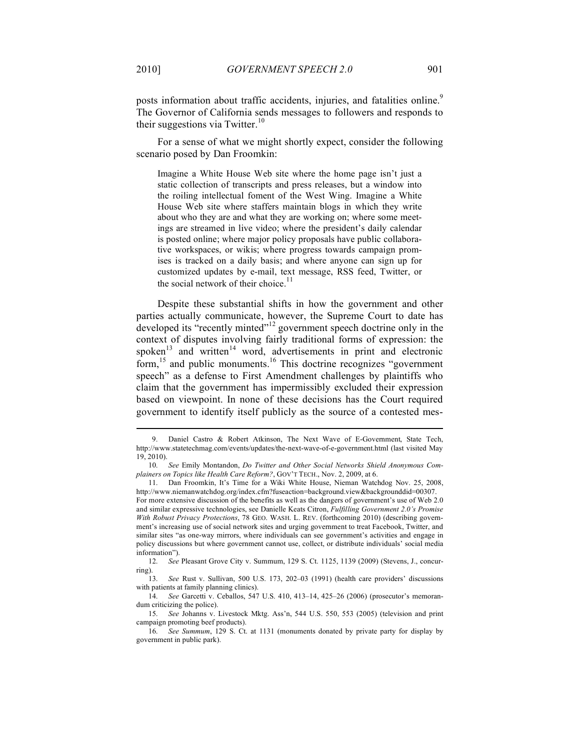posts information about traffic accidents, injuries, and fatalities online.<sup>9</sup> The Governor of California sends messages to followers and responds to their suggestions via Twitter.<sup>10</sup>

For a sense of what we might shortly expect, consider the following scenario posed by Dan Froomkin:

Imagine a White House Web site where the home page isn't just a static collection of transcripts and press releases, but a window into the roiling intellectual foment of the West Wing. Imagine a White House Web site where staffers maintain blogs in which they write about who they are and what they are working on; where some meetings are streamed in live video; where the president's daily calendar is posted online; where major policy proposals have public collaborative workspaces, or wikis; where progress towards campaign promises is tracked on a daily basis; and where anyone can sign up for customized updates by e-mail, text message, RSS feed, Twitter, or the social network of their choice. $11$ 

Despite these substantial shifts in how the government and other parties actually communicate, however, the Supreme Court to date has developed its "recently minted"<sup>12</sup> government speech doctrine only in the context of disputes involving fairly traditional forms of expression: the spoken<sup>13</sup> and written<sup>14</sup> word, advertisements in print and electronic form,15 and public monuments.16 This doctrine recognizes "government speech" as a defense to First Amendment challenges by plaintiffs who claim that the government has impermissibly excluded their expression based on viewpoint. In none of these decisions has the Court required government to identify itself publicly as the source of a contested mes-

<sup>9.</sup> Daniel Castro & Robert Atkinson, The Next Wave of E-Government, State Tech, http://www.statetechmag.com/events/updates/the-next-wave-of-e-government.html (last visited May 19, 2010).

<sup>10.</sup> *See* Emily Montandon, *Do Twitter and Other Social Networks Shield Anonymous Complainers on Topics like Health Care Reform?*, GOV'T TECH., Nov. 2, 2009, at 6.

<sup>11.</sup> Dan Froomkin, It's Time for a Wiki White House, Nieman Watchdog Nov. 25, 2008, http://www.niemanwatchdog.org/index.cfm?fuseaction=background.view&backgrounddid=00307. For more extensive discussion of the benefits as well as the dangers of government's use of Web 2.0 and similar expressive technologies, see Danielle Keats Citron, *Fulfilling Government 2.0's Promise With Robust Privacy Protections*, 78 GEO. WASH. L. REV. (forthcoming 2010) (describing government's increasing use of social network sites and urging government to treat Facebook, Twitter, and similar sites "as one-way mirrors, where individuals can see government's activities and engage in policy discussions but where government cannot use, collect, or distribute individuals' social media information").

<sup>12.</sup> *See* Pleasant Grove City v. Summum, 129 S. Ct. 1125, 1139 (2009) (Stevens, J., concurring).

<sup>13.</sup> *See* Rust v. Sullivan, 500 U.S. 173, 202–03 (1991) (health care providers' discussions with patients at family planning clinics).

<sup>14.</sup> *See* Garcetti v. Ceballos, 547 U.S. 410, 413–14, 425–26 (2006) (prosecutor's memorandum criticizing the police).

<sup>15.</sup> *See* Johanns v. Livestock Mktg. Ass'n, 544 U.S. 550, 553 (2005) (television and print campaign promoting beef products).

<sup>16.</sup> *See Summum*, 129 S. Ct. at 1131 (monuments donated by private party for display by government in public park).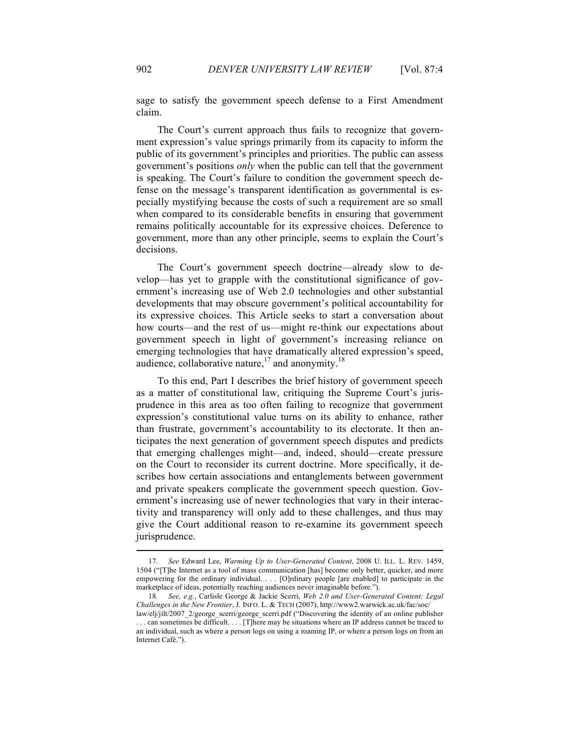sage to satisfy the government speech defense to a First Amendment claim.

The Court's current approach thus fails to recognize that government expression's value springs primarily from its capacity to inform the public of its government's principles and priorities. The public can assess government's positions *only* when the public can tell that the government is speaking. The Court's failure to condition the government speech defense on the message's transparent identification as governmental is especially mystifying because the costs of such a requirement are so small when compared to its considerable benefits in ensuring that government remains politically accountable for its expressive choices. Deference to government, more than any other principle, seems to explain the Court's decisions.

The Court's government speech doctrine—already slow to develop—has yet to grapple with the constitutional significance of government's increasing use of Web 2.0 technologies and other substantial developments that may obscure government's political accountability for its expressive choices. This Article seeks to start a conversation about how courts—and the rest of us—might re-think our expectations about government speech in light of government's increasing reliance on emerging technologies that have dramatically altered expression's speed, audience, collaborative nature,  $17$  and anonymity.<sup>18</sup>

To this end, Part I describes the brief history of government speech as a matter of constitutional law, critiquing the Supreme Court's jurisprudence in this area as too often failing to recognize that government expression's constitutional value turns on its ability to enhance, rather than frustrate, government's accountability to its electorate. It then anticipates the next generation of government speech disputes and predicts that emerging challenges might—and, indeed, should—create pressure on the Court to reconsider its current doctrine. More specifically, it describes how certain associations and entanglements between government and private speakers complicate the government speech question. Government's increasing use of newer technologies that vary in their interactivity and transparency will only add to these challenges, and thus may give the Court additional reason to re-examine its government speech jurisprudence.

<sup>17.</sup> *See* Edward Lee, *Warming Up to User-Generated Content*, 2008 U. ILL. L. REV. 1459, 1504 ("[T]he Internet as a tool of mass communication [has] become only better, quicker, and more empowering for the ordinary individual. . . . [O]rdinary people [are enabled] to participate in the marketplace of ideas, potentially reaching audiences never imaginable before.").

<sup>18</sup>*. See, e.g.*, Carlisle George & Jackie Scerri, *Web 2.0 and User-Generated Content: Legal Challenges in the New Frontier*, J. INFO. L. & TECH (2007), http://www2.warwick.ac.uk/fac/soc/

law/elj/jilt/2007\_2/george\_scerri/george\_scerri.pdf ("Discovering the identity of an online publisher . . . can sometimes be difficult. . . . [T]here may be situations where an IP address cannot be traced to an individual, such as where a person logs on using a roaming IP, or where a person logs on from an Internet Café.").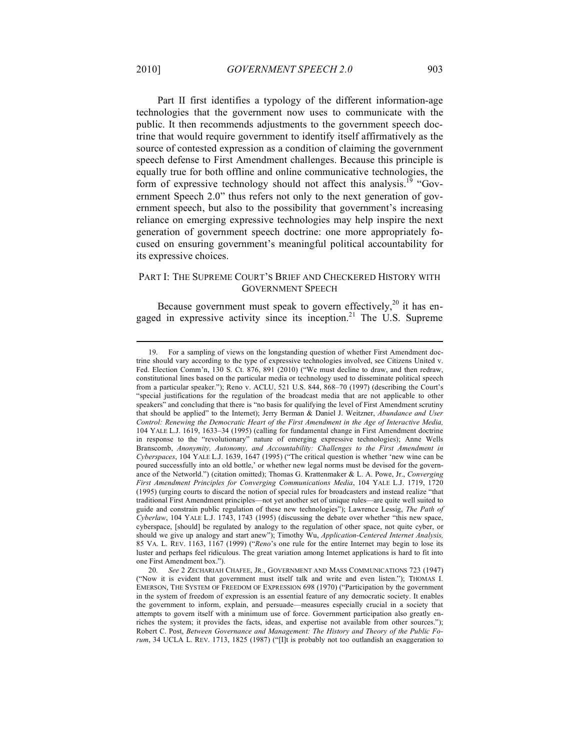Part II first identifies a typology of the different information-age technologies that the government now uses to communicate with the public. It then recommends adjustments to the government speech doctrine that would require government to identify itself affirmatively as the source of contested expression as a condition of claiming the government speech defense to First Amendment challenges. Because this principle is equally true for both offline and online communicative technologies, the form of expressive technology should not affect this analysis.<sup>19</sup> "Government Speech 2.0" thus refers not only to the next generation of government speech, but also to the possibility that government's increasing reliance on emerging expressive technologies may help inspire the next generation of government speech doctrine: one more appropriately focused on ensuring government's meaningful political accountability for its expressive choices.

#### PART I: THE SUPREME COURT'S BRIEF AND CHECKERED HISTORY WITH GOVERNMENT SPEECH

Because government must speak to govern effectively,<sup>20</sup> it has engaged in expressive activity since its inception.<sup>21</sup> The U.S. Supreme

<sup>19.</sup> For a sampling of views on the longstanding question of whether First Amendment doctrine should vary according to the type of expressive technologies involved, see Citizens United v. Fed. Election Comm'n, 130 S. Ct. 876, 891 (2010) ("We must decline to draw, and then redraw, constitutional lines based on the particular media or technology used to disseminate political speech from a particular speaker."); Reno v. ACLU, 521 U.S. 844, 868–70 (1997) (describing the Court's "special justifications for the regulation of the broadcast media that are not applicable to other speakers" and concluding that there is "no basis for qualifying the level of First Amendment scrutiny that should be applied" to the Internet); Jerry Berman & Daniel J. Weitzner, *Abundance and User Control: Renewing the Democratic Heart of the First Amendment in the Age of Interactive Media,*  104 YALE L.J. 1619, 1633–34 (1995) (calling for fundamental change in First Amendment doctrine in response to the "revolutionary" nature of emerging expressive technologies); Anne Wells Branscomb, *Anonymity, Autonomy, and Accountability: Challenges to the First Amendment in Cyberspaces*, 104 YALE L.J. 1639, 1647 (1995) ("The critical question is whether 'new wine can be poured successfully into an old bottle,' or whether new legal norms must be devised for the governance of the Networld.") (citation omitted); Thomas G. Krattenmaker & L. A. Powe, Jr., *Converging First Amendment Principles for Converging Communications Media*, 104 YALE L.J. 1719, 1720 (1995) (urging courts to discard the notion of special rules for broadcasters and instead realize "that traditional First Amendment principles—not yet another set of unique rules—are quite well suited to guide and constrain public regulation of these new technologies"); Lawrence Lessig, *The Path of Cyberlaw*, 104 YALE L.J. 1743, 1743 (1995) (discussing the debate over whether "this new space, cyberspace, [should] be regulated by analogy to the regulation of other space, not quite cyber, or should we give up analogy and start anew"); Timothy Wu, *Application-Centered Internet Analysis,*  85 VA. L. REV. 1163, 1167 (1999) ("*Reno*'s one rule for the entire Internet may begin to lose its luster and perhaps feel ridiculous. The great variation among Internet applications is hard to fit into one First Amendment box.").

<sup>20.</sup> *See* 2 ZECHARIAH CHAFEE, JR., GOVERNMENT AND MASS COMMUNICATIONS 723 (1947) ("Now it is evident that government must itself talk and write and even listen."); THOMAS I. EMERSON, THE SYSTEM OF FREEDOM OF EXPRESSION 698 (1970) ("Participation by the government in the system of freedom of expression is an essential feature of any democratic society. It enables the government to inform, explain, and persuade—measures especially crucial in a society that attempts to govern itself with a minimum use of force. Government participation also greatly enriches the system; it provides the facts, ideas, and expertise not available from other sources."); Robert C. Post, *Between Governance and Management: The History and Theory of the Public Forum*, 34 UCLA L. REV. 1713, 1825 (1987) ("[I]t is probably not too outlandish an exaggeration to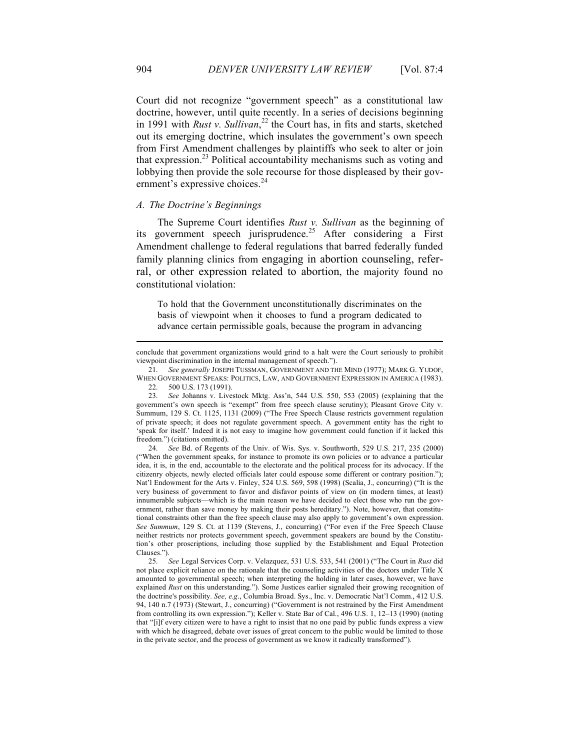Court did not recognize "government speech" as a constitutional law doctrine, however, until quite recently. In a series of decisions beginning in 1991 with *Rust v. Sullivan*, 22 the Court has, in fits and starts, sketched out its emerging doctrine, which insulates the government's own speech from First Amendment challenges by plaintiffs who seek to alter or join that expression. 23 Political accountability mechanisms such as voting and lobbying then provide the sole recourse for those displeased by their government's expressive choices.<sup>24</sup>

#### *A. The Doctrine's Beginnings*

The Supreme Court identifies *Rust v. Sullivan* as the beginning of its government speech jurisprudence.<sup>25</sup> After considering a First Amendment challenge to federal regulations that barred federally funded family planning clinics from engaging in abortion counseling, referral, or other expression related to abortion, the majority found no constitutional violation:

To hold that the Government unconstitutionally discriminates on the basis of viewpoint when it chooses to fund a program dedicated to advance certain permissible goals, because the program in advancing

23. *See* Johanns v. Livestock Mktg. Ass'n, 544 U.S. 550, 553 (2005) (explaining that the government's own speech is "exempt" from free speech clause scrutiny); Pleasant Grove City v. Summum, 129 S. Ct. 1125, 1131 (2009) ("The Free Speech Clause restricts government regulation of private speech; it does not regulate government speech. A government entity has the right to 'speak for itself.' Indeed it is not easy to imagine how government could function if it lacked this freedom.") (citations omitted).

24. *See* Bd. of Regents of the Univ. of Wis. Sys. v. Southworth, 529 U.S. 217, 235 (2000) ("When the government speaks, for instance to promote its own policies or to advance a particular idea, it is, in the end, accountable to the electorate and the political process for its advocacy. If the citizenry objects, newly elected officials later could espouse some different or contrary position."); Nat'l Endowment for the Arts v. Finley, 524 U.S. 569, 598 (1998) (Scalia, J., concurring) ("It is the very business of government to favor and disfavor points of view on (in modern times, at least) innumerable subjects—which is the main reason we have decided to elect those who run the government, rather than save money by making their posts hereditary."). Note, however, that constitutional constraints other than the free speech clause may also apply to government's own expression. *See Summum*, 129 S. Ct. at 1139 (Stevens, J., concurring) ("For even if the Free Speech Clause neither restricts nor protects government speech, government speakers are bound by the Constitution's other proscriptions, including those supplied by the Establishment and Equal Protection Clauses.").

25. *See* Legal Services Corp. v. Velazquez, 531 U.S. 533, 541 (2001) ("The Court in *Rust* did not place explicit reliance on the rationale that the counseling activities of the doctors under Title X amounted to governmental speech; when interpreting the holding in later cases, however, we have explained *Rust* on this understanding."). Some Justices earlier signaled their growing recognition of the doctrine's possibility. *See, e.g*., Columbia Broad. Sys., Inc. v. Democratic Nat'l Comm., 412 U.S. 94, 140 n.7 (1973) (Stewart, J., concurring) ("Government is not restrained by the First Amendment from controlling its own expression."); Keller v. State Bar of Cal., 496 U.S. 1, 12–13 (1990) (noting that "[i]f every citizen were to have a right to insist that no one paid by public funds express a view with which he disagreed, debate over issues of great concern to the public would be limited to those in the private sector, and the process of government as we know it radically transformed").

conclude that government organizations would grind to a halt were the Court seriously to prohibit viewpoint discrimination in the internal management of speech.").

<sup>21.</sup> *See generally* JOSEPH TUSSMAN, GOVERNMENT AND THE MIND (1977); MARK G. YUDOF, WHEN GOVERNMENT SPEAKS: POLITICS, LAW, AND GOVERNMENT EXPRESSION IN AMERICA (1983).

<sup>22.</sup> 500 U.S. 173 (1991).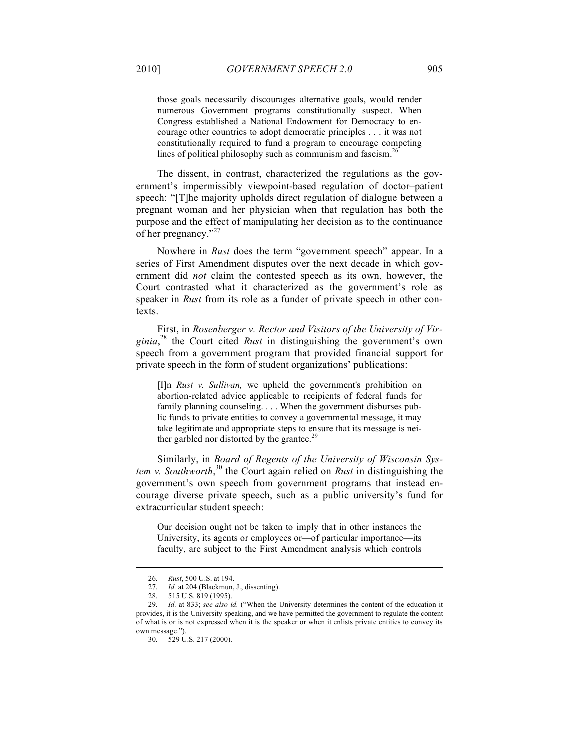those goals necessarily discourages alternative goals, would render numerous Government programs constitutionally suspect. When Congress established a National Endowment for Democracy to encourage other countries to adopt democratic principles . . . it was not constitutionally required to fund a program to encourage competing lines of political philosophy such as communism and fascism.<sup>26</sup>

The dissent, in contrast, characterized the regulations as the government's impermissibly viewpoint-based regulation of doctor–patient speech: "[T]he majority upholds direct regulation of dialogue between a pregnant woman and her physician when that regulation has both the purpose and the effect of manipulating her decision as to the continuance of her pregnancy."<sup>27</sup>

Nowhere in *Rust* does the term "government speech" appear. In a series of First Amendment disputes over the next decade in which government did *not* claim the contested speech as its own, however, the Court contrasted what it characterized as the government's role as speaker in *Rust* from its role as a funder of private speech in other contexts.

First, in *Rosenberger v. Rector and Visitors of the University of Virginia*, 28 the Court cited *Rust* in distinguishing the government's own speech from a government program that provided financial support for private speech in the form of student organizations' publications:

[I]n *Rust v. Sullivan,* we upheld the government's prohibition on abortion-related advice applicable to recipients of federal funds for family planning counseling. . . . When the government disburses public funds to private entities to convey a governmental message, it may take legitimate and appropriate steps to ensure that its message is neither garbled nor distorted by the grantee. $^{29}$ 

Similarly, in *Board of Regents of the University of Wisconsin Sys*tem v. Southworth,<sup>30</sup> the Court again relied on *Rust* in distinguishing the government's own speech from government programs that instead encourage diverse private speech, such as a public university's fund for extracurricular student speech:

Our decision ought not be taken to imply that in other instances the University, its agents or employees or—of particular importance—its faculty, are subject to the First Amendment analysis which controls

<sup>26.</sup> *Rust*, 500 U.S. at 194.

<sup>27.</sup> *Id.* at 204 (Blackmun, J., dissenting).

<sup>28.</sup> 515 U.S. 819 (1995).

<sup>29.</sup> *Id.* at 833; *see also id.* ("When the University determines the content of the education it provides, it is the University speaking, and we have permitted the government to regulate the content of what is or is not expressed when it is the speaker or when it enlists private entities to convey its own message.").

<sup>30.</sup> 529 U.S. 217 (2000).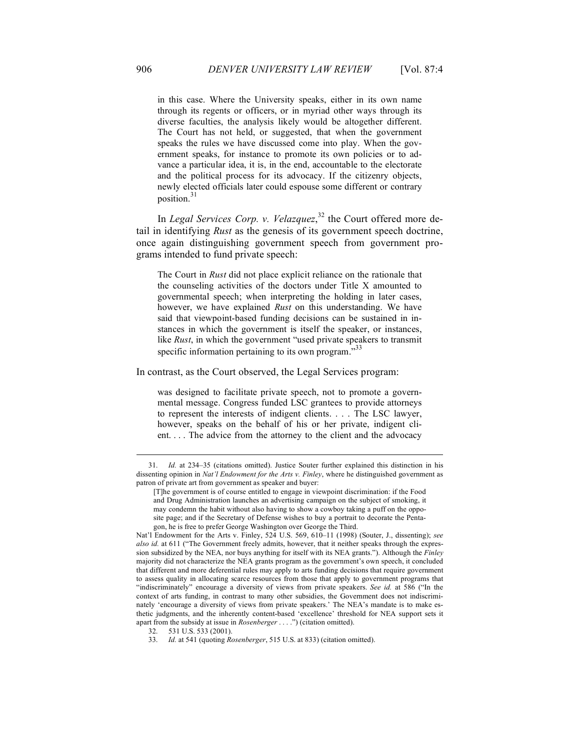in this case. Where the University speaks, either in its own name through its regents or officers, or in myriad other ways through its diverse faculties, the analysis likely would be altogether different. The Court has not held, or suggested, that when the government speaks the rules we have discussed come into play. When the government speaks, for instance to promote its own policies or to advance a particular idea, it is, in the end, accountable to the electorate and the political process for its advocacy. If the citizenry objects, newly elected officials later could espouse some different or contrary position.<sup>31</sup>

In *Legal Services Corp. v. Velazquez*, 32 the Court offered more detail in identifying *Rust* as the genesis of its government speech doctrine, once again distinguishing government speech from government programs intended to fund private speech:

The Court in *Rust* did not place explicit reliance on the rationale that the counseling activities of the doctors under Title X amounted to governmental speech; when interpreting the holding in later cases, however, we have explained *Rust* on this understanding. We have said that viewpoint-based funding decisions can be sustained in instances in which the government is itself the speaker, or instances, like *Rust*, in which the government "used private speakers to transmit specific information pertaining to its own program."<sup>33</sup>

In contrast, as the Court observed, the Legal Services program:

was designed to facilitate private speech, not to promote a governmental message. Congress funded LSC grantees to provide attorneys to represent the interests of indigent clients. . . . The LSC lawyer, however, speaks on the behalf of his or her private, indigent client. . . . The advice from the attorney to the client and the advocacy

<sup>31.</sup> *Id.* at 234–35 (citations omitted). Justice Souter further explained this distinction in his dissenting opinion in *Nat'l Endowment for the Arts v. Finley*, where he distinguished government as patron of private art from government as speaker and buyer:

<sup>[</sup>T]he government is of course entitled to engage in viewpoint discrimination: if the Food and Drug Administration launches an advertising campaign on the subject of smoking, it may condemn the habit without also having to show a cowboy taking a puff on the opposite page; and if the Secretary of Defense wishes to buy a portrait to decorate the Pentagon, he is free to prefer George Washington over George the Third.

Nat'l Endowment for the Arts v. Finley, 524 U.S. 569, 610–11 (1998) (Souter, J., dissenting); *see also id.* at 611 ("The Government freely admits, however, that it neither speaks through the expression subsidized by the NEA, nor buys anything for itself with its NEA grants."). Although the *Finley*  majority did not characterize the NEA grants program as the government's own speech, it concluded that different and more deferential rules may apply to arts funding decisions that require government to assess quality in allocating scarce resources from those that apply to government programs that "indiscriminately" encourage a diversity of views from private speakers. *See id.* at 586 ("In the context of arts funding, in contrast to many other subsidies, the Government does not indiscriminately 'encourage a diversity of views from private speakers.' The NEA's mandate is to make esthetic judgments, and the inherently content-based 'excellence' threshold for NEA support sets it apart from the subsidy at issue in *Rosenberger* . . . .") (citation omitted).

<sup>32.</sup> 531 U.S. 533 (2001).

<sup>33.</sup> *Id.* at 541 (quoting *Rosenberger*, 515 U.S. at 833) (citation omitted).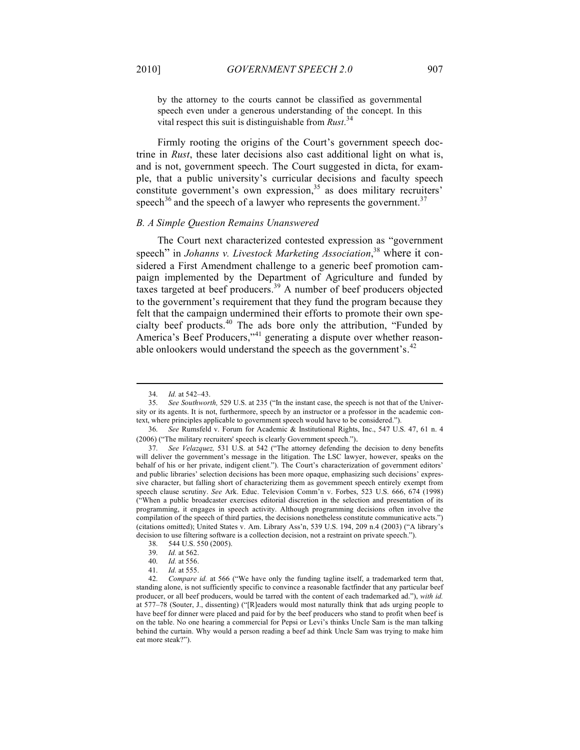by the attorney to the courts cannot be classified as governmental speech even under a generous understanding of the concept. In this vital respect this suit is distinguishable from *Rust*. 34

Firmly rooting the origins of the Court's government speech doctrine in *Rust*, these later decisions also cast additional light on what is, and is not, government speech. The Court suggested in dicta, for example, that a public university's curricular decisions and faculty speech constitute government's own expression,  $35$  as does military recruiters' speech<sup>36</sup> and the speech of a lawyer who represents the government.<sup>37</sup>

#### *B. A Simple Question Remains Unanswered*

The Court next characterized contested expression as "government speech" in *Johanns v. Livestock Marketing Association*, <sup>38</sup> where it considered a First Amendment challenge to a generic beef promotion campaign implemented by the Department of Agriculture and funded by taxes targeted at beef producers.<sup>39</sup> A number of beef producers objected to the government's requirement that they fund the program because they felt that the campaign undermined their efforts to promote their own specialty beef products.<sup>40</sup> The ads bore only the attribution, "Funded by America's Beef Producers,"<sup>41</sup> generating a dispute over whether reasonable onlookers would understand the speech as the government's. $^{42}$ 

<sup>34.</sup> *Id.* at 542–43.

<sup>35.</sup> *See Southworth,* 529 U.S. at 235 ("In the instant case, the speech is not that of the University or its agents. It is not, furthermore, speech by an instructor or a professor in the academic context, where principles applicable to government speech would have to be considered.").

<sup>36.</sup> *See* Rumsfeld v. Forum for Academic & Institutional Rights, Inc., 547 U.S. 47, 61 n. 4 (2006) ("The military recruiters' speech is clearly Government speech.").

<sup>37.</sup> *See Velazquez,* 531 U.S. at 542 ("The attorney defending the decision to deny benefits will deliver the government's message in the litigation. The LSC lawyer, however, speaks on the behalf of his or her private, indigent client."). The Court's characterization of government editors' and public libraries' selection decisions has been more opaque, emphasizing such decisions' expressive character, but falling short of characterizing them as government speech entirely exempt from speech clause scrutiny. *See* Ark. Educ. Television Comm'n v. Forbes, 523 U.S. 666, 674 (1998) ("When a public broadcaster exercises editorial discretion in the selection and presentation of its programming, it engages in speech activity. Although programming decisions often involve the compilation of the speech of third parties, the decisions nonetheless constitute communicative acts.") (citations omitted); United States v. Am. Library Ass'n, 539 U.S. 194, 209 n.4 (2003) ("A library's decision to use filtering software is a collection decision, not a restraint on private speech.").

<sup>38.</sup> 544 U.S. 550 (2005).

<sup>39.</sup> *Id.* at 562.

<sup>40.</sup> *Id.* at 556.

<sup>41.</sup> *Id.* at 555.

<sup>42.</sup> *Compare id.* at 566 ("We have only the funding tagline itself, a trademarked term that, standing alone, is not sufficiently specific to convince a reasonable factfinder that any particular beef producer, or all beef producers, would be tarred with the content of each trademarked ad."), *with id.*  at 577–78 (Souter, J., dissenting) ("[R]eaders would most naturally think that ads urging people to have beef for dinner were placed and paid for by the beef producers who stand to profit when beef is on the table. No one hearing a commercial for Pepsi or Levi's thinks Uncle Sam is the man talking behind the curtain. Why would a person reading a beef ad think Uncle Sam was trying to make him eat more steak?").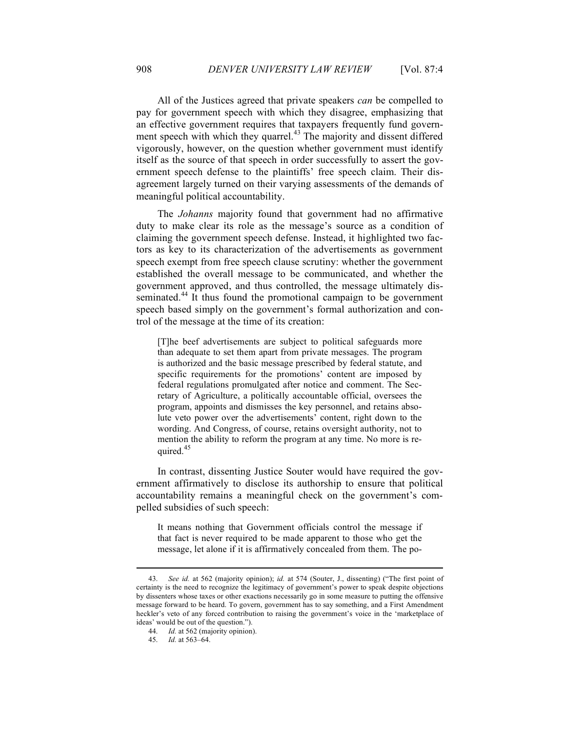All of the Justices agreed that private speakers *can* be compelled to pay for government speech with which they disagree, emphasizing that an effective government requires that taxpayers frequently fund government speech with which they quarrel.<sup>43</sup> The majority and dissent differed vigorously, however, on the question whether government must identify itself as the source of that speech in order successfully to assert the government speech defense to the plaintiffs' free speech claim. Their disagreement largely turned on their varying assessments of the demands of meaningful political accountability.

The *Johanns* majority found that government had no affirmative duty to make clear its role as the message's source as a condition of claiming the government speech defense. Instead, it highlighted two factors as key to its characterization of the advertisements as government speech exempt from free speech clause scrutiny: whether the government established the overall message to be communicated, and whether the government approved, and thus controlled, the message ultimately disseminated.<sup>44</sup> It thus found the promotional campaign to be government speech based simply on the government's formal authorization and control of the message at the time of its creation:

[T]he beef advertisements are subject to political safeguards more than adequate to set them apart from private messages. The program is authorized and the basic message prescribed by federal statute, and specific requirements for the promotions' content are imposed by federal regulations promulgated after notice and comment. The Secretary of Agriculture, a politically accountable official, oversees the program, appoints and dismisses the key personnel, and retains absolute veto power over the advertisements' content, right down to the wording. And Congress, of course, retains oversight authority, not to mention the ability to reform the program at any time. No more is required.<sup>45</sup>

In contrast, dissenting Justice Souter would have required the government affirmatively to disclose its authorship to ensure that political accountability remains a meaningful check on the government's compelled subsidies of such speech:

It means nothing that Government officials control the message if that fact is never required to be made apparent to those who get the message, let alone if it is affirmatively concealed from them. The po-

<sup>43.</sup> *See id.* at 562 (majority opinion); *id.* at 574 (Souter, J., dissenting) ("The first point of certainty is the need to recognize the legitimacy of government's power to speak despite objections by dissenters whose taxes or other exactions necessarily go in some measure to putting the offensive message forward to be heard. To govern, government has to say something, and a First Amendment heckler's veto of any forced contribution to raising the government's voice in the 'marketplace of ideas' would be out of the question.").

<sup>44.</sup> *Id.* at 562 (majority opinion).

<sup>45.</sup> *Id.* at 563–64.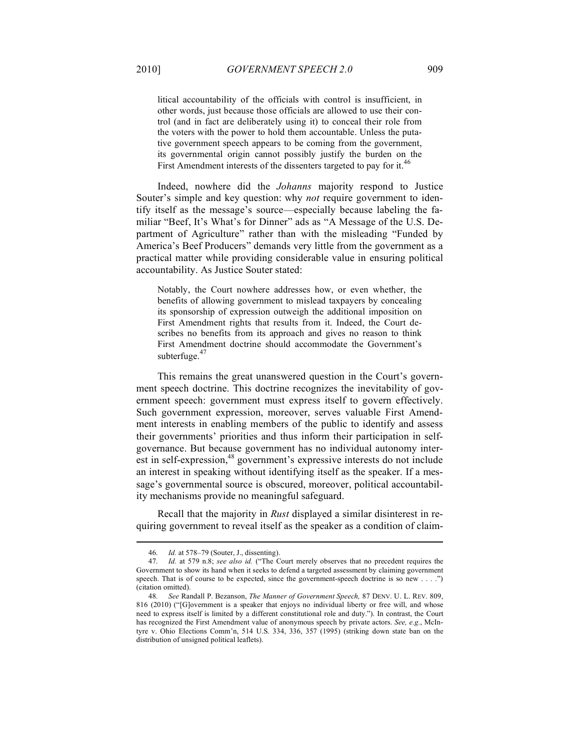litical accountability of the officials with control is insufficient, in other words, just because those officials are allowed to use their control (and in fact are deliberately using it) to conceal their role from the voters with the power to hold them accountable. Unless the putative government speech appears to be coming from the government, its governmental origin cannot possibly justify the burden on the First Amendment interests of the dissenters targeted to pay for it.<sup>46</sup>

Indeed, nowhere did the *Johanns* majority respond to Justice Souter's simple and key question: why *not* require government to identify itself as the message's source—especially because labeling the familiar "Beef, It's What's for Dinner" ads as "A Message of the U.S. Department of Agriculture" rather than with the misleading "Funded by America's Beef Producers" demands very little from the government as a practical matter while providing considerable value in ensuring political accountability. As Justice Souter stated:

Notably, the Court nowhere addresses how, or even whether, the benefits of allowing government to mislead taxpayers by concealing its sponsorship of expression outweigh the additional imposition on First Amendment rights that results from it. Indeed, the Court describes no benefits from its approach and gives no reason to think First Amendment doctrine should accommodate the Government's subterfuge.<sup>47</sup>

This remains the great unanswered question in the Court's government speech doctrine. This doctrine recognizes the inevitability of government speech: government must express itself to govern effectively. Such government expression, moreover, serves valuable First Amendment interests in enabling members of the public to identify and assess their governments' priorities and thus inform their participation in selfgovernance. But because government has no individual autonomy interest in self-expression,<sup>48</sup> government's expressive interests do not include an interest in speaking without identifying itself as the speaker. If a message's governmental source is obscured, moreover, political accountability mechanisms provide no meaningful safeguard.

Recall that the majority in *Rust* displayed a similar disinterest in requiring government to reveal itself as the speaker as a condition of claim-

<sup>46.</sup> *Id.* at 578–79 (Souter, J., dissenting).

<sup>47.</sup> *Id.* at 579 n.8; *see also id.* ("The Court merely observes that no precedent requires the Government to show its hand when it seeks to defend a targeted assessment by claiming government speech. That is of course to be expected, since the government-speech doctrine is so new . . . .") (citation omitted).

<sup>48.</sup> *See* Randall P. Bezanson, *The Manner of Government Speech,* 87 DENV. U. L. REV. 809, 816 (2010) ("[G]overnment is a speaker that enjoys no individual liberty or free will, and whose need to express itself is limited by a different constitutional role and duty."). In contrast, the Court has recognized the First Amendment value of anonymous speech by private actors. *See, e.g.*, McIntyre v. Ohio Elections Comm'n, 514 U.S. 334, 336, 357 (1995) (striking down state ban on the distribution of unsigned political leaflets).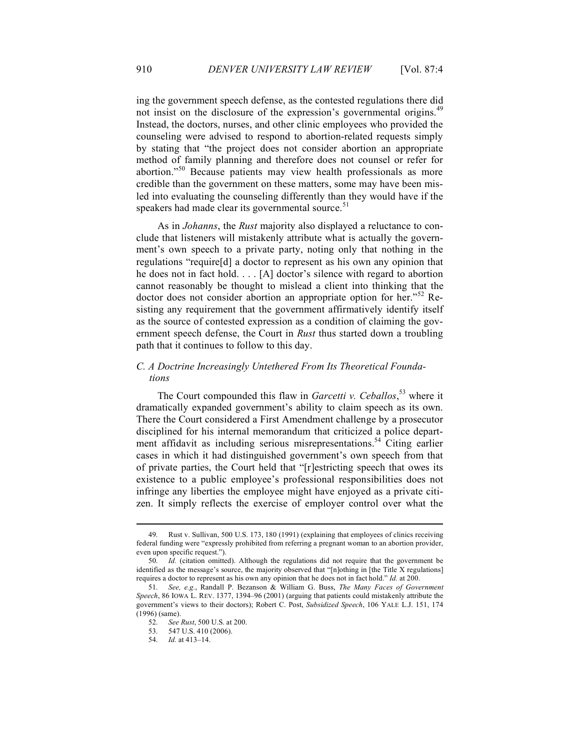ing the government speech defense, as the contested regulations there did not insist on the disclosure of the expression's governmental origins.<sup>49</sup> Instead, the doctors, nurses, and other clinic employees who provided the counseling were advised to respond to abortion-related requests simply by stating that "the project does not consider abortion an appropriate method of family planning and therefore does not counsel or refer for abortion."<sup>50</sup> Because patients may view health professionals as more credible than the government on these matters, some may have been misled into evaluating the counseling differently than they would have if the speakers had made clear its governmental source.<sup>51</sup>

As in *Johanns*, the *Rust* majority also displayed a reluctance to conclude that listeners will mistakenly attribute what is actually the government's own speech to a private party, noting only that nothing in the regulations "require[d] a doctor to represent as his own any opinion that he does not in fact hold. . . . [A] doctor's silence with regard to abortion cannot reasonably be thought to mislead a client into thinking that the doctor does not consider abortion an appropriate option for her."<sup>52</sup> Resisting any requirement that the government affirmatively identify itself as the source of contested expression as a condition of claiming the government speech defense, the Court in *Rust* thus started down a troubling path that it continues to follow to this day.

#### *C. A Doctrine Increasingly Untethered From Its Theoretical Foundations*

The Court compounded this flaw in *Garcetti v. Ceballos*, <sup>53</sup> where it dramatically expanded government's ability to claim speech as its own. There the Court considered a First Amendment challenge by a prosecutor disciplined for his internal memorandum that criticized a police department affidavit as including serious misrepresentations.<sup>54</sup> Citing earlier cases in which it had distinguished government's own speech from that of private parties, the Court held that "[r]estricting speech that owes its existence to a public employee's professional responsibilities does not infringe any liberties the employee might have enjoyed as a private citizen. It simply reflects the exercise of employer control over what the

<sup>49.</sup> Rust v. Sullivan, 500 U.S. 173, 180 (1991) (explaining that employees of clinics receiving federal funding were "expressly prohibited from referring a pregnant woman to an abortion provider, even upon specific request.").

<sup>50.</sup> *Id.* (citation omitted). Although the regulations did not require that the government be identified as the message's source, the majority observed that "[n]othing in [the Title X regulations] requires a doctor to represent as his own any opinion that he does not in fact hold." *Id.* at 200.

<sup>51.</sup> *See, e.g.*, Randall P. Bezanson & William G. Buss, *The Many Faces of Government Speech*, 86 IOWA L. REV. 1377, 1394–96 (2001) (arguing that patients could mistakenly attribute the government's views to their doctors); Robert C. Post, *Subsidized Speech*, 106 YALE L.J. 151, 174 (1996) (same).

<sup>52.</sup> *See Rust*, 500 U.S. at 200.

<sup>53.</sup> 547 U.S. 410 (2006).

<sup>54.</sup> *Id.* at 413–14.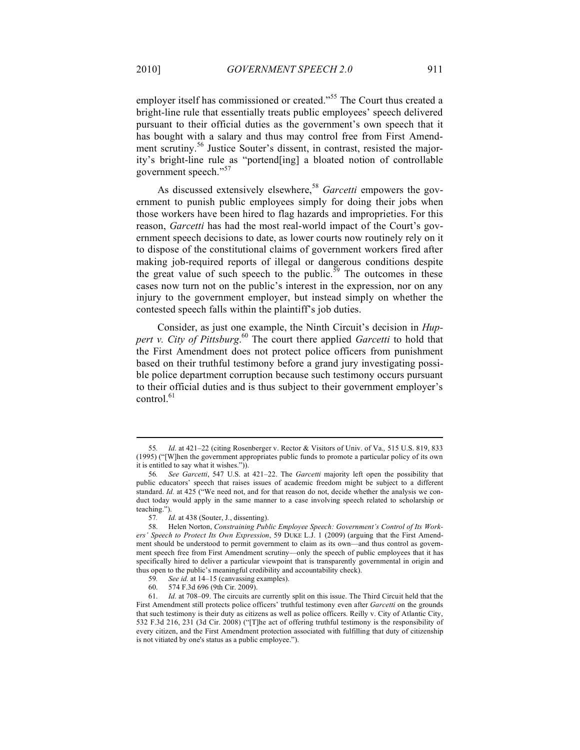employer itself has commissioned or created."<sup>55</sup> The Court thus created a bright-line rule that essentially treats public employees' speech delivered pursuant to their official duties as the government's own speech that it has bought with a salary and thus may control free from First Amendment scrutiny.<sup>56</sup> Justice Souter's dissent, in contrast, resisted the majority's bright-line rule as "portend[ing] a bloated notion of controllable government speech."<sup>57</sup>

As discussed extensively elsewhere,<sup>58</sup> *Garcetti* empowers the government to punish public employees simply for doing their jobs when those workers have been hired to flag hazards and improprieties. For this reason, *Garcetti* has had the most real-world impact of the Court's government speech decisions to date, as lower courts now routinely rely on it to dispose of the constitutional claims of government workers fired after making job-required reports of illegal or dangerous conditions despite the great value of such speech to the public.<sup>59</sup> The outcomes in these cases now turn not on the public's interest in the expression, nor on any injury to the government employer, but instead simply on whether the contested speech falls within the plaintiff's job duties.

Consider, as just one example, the Ninth Circuit's decision in *Huppert v. City of Pittsburg*. 60 The court there applied *Garcetti* to hold that the First Amendment does not protect police officers from punishment based on their truthful testimony before a grand jury investigating possible police department corruption because such testimony occurs pursuant to their official duties and is thus subject to their government employer's control.<sup>61</sup>

<sup>55</sup>*. Id.* at 421–22 (citing Rosenberger v. Rector & Visitors of Univ. of Va.*,* 515 U.S. 819, 833 (1995) ("[W]hen the government appropriates public funds to promote a particular policy of its own it is entitled to say what it wishes.")).

<sup>56</sup>*. See Garcetti*, 547 U.S. at 421–22. The *Garcetti* majority left open the possibility that public educators' speech that raises issues of academic freedom might be subject to a different standard. *Id.* at 425 ("We need not, and for that reason do not, decide whether the analysis we conduct today would apply in the same manner to a case involving speech related to scholarship or teaching.").

<sup>57</sup>*. Id.* at 438 (Souter, J., dissenting).

<sup>58.</sup> Helen Norton, *Constraining Public Employee Speech: Government's Control of Its Workers' Speech to Protect Its Own Expression*, 59 DUKE L.J. 1 (2009) (arguing that the First Amendment should be understood to permit government to claim as its own—and thus control as government speech free from First Amendment scrutiny—only the speech of public employees that it has specifically hired to deliver a particular viewpoint that is transparently governmental in origin and thus open to the public's meaningful credibility and accountability check).

<sup>59</sup>*. See id.* at 14–15 (canvassing examples).

<sup>60.</sup> 574 F.3d 696 (9th Cir. 2009).

<sup>61.</sup> *Id.* at 708–09. The circuits are currently split on this issue. The Third Circuit held that the First Amendment still protects police officers' truthful testimony even after *Garcetti* on the grounds that such testimony is their duty as citizens as well as police officers. Reilly v. City of Atlantic City, 532 F.3d 216, 231 (3d Cir. 2008) ("[T]he act of offering truthful testimony is the responsibility of every citizen, and the First Amendment protection associated with fulfilling that duty of citizenship is not vitiated by one's status as a public employee.").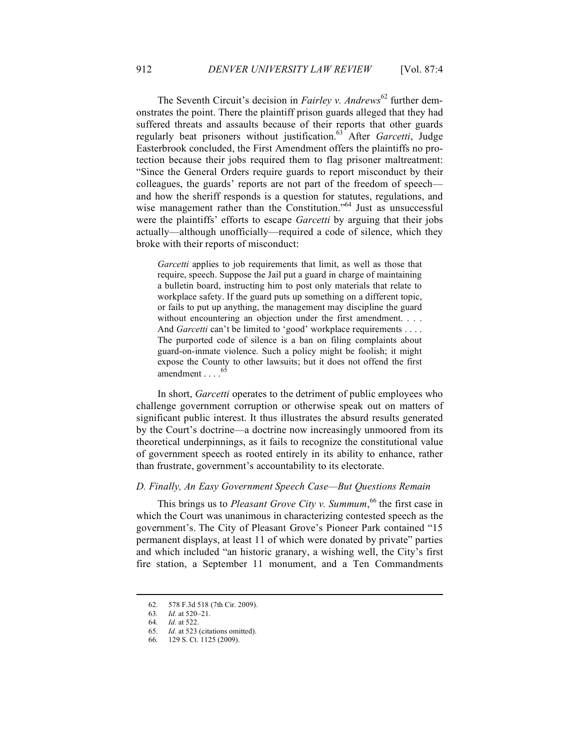The Seventh Circuit's decision in *Fairley v. Andrews*<sup>62</sup> further demonstrates the point. There the plaintiff prison guards alleged that they had suffered threats and assaults because of their reports that other guards regularly beat prisoners without justification.63 After *Garcetti*, Judge Easterbrook concluded, the First Amendment offers the plaintiffs no protection because their jobs required them to flag prisoner maltreatment: "Since the General Orders require guards to report misconduct by their colleagues, the guards' reports are not part of the freedom of speech and how the sheriff responds is a question for statutes, regulations, and wise management rather than the Constitution."<sup>64</sup> Just as unsuccessful were the plaintiffs' efforts to escape *Garcetti* by arguing that their jobs actually—although unofficially—required a code of silence, which they broke with their reports of misconduct:

*Garcetti* applies to job requirements that limit, as well as those that require, speech. Suppose the Jail put a guard in charge of maintaining a bulletin board, instructing him to post only materials that relate to workplace safety. If the guard puts up something on a different topic, or fails to put up anything, the management may discipline the guard without encountering an objection under the first amendment. . . . And *Garcetti* can't be limited to 'good' workplace requirements . . . . The purported code of silence is a ban on filing complaints about guard-on-inmate violence. Such a policy might be foolish; it might expose the County to other lawsuits; but it does not offend the first amendment  $\ldots$ .<sup>65</sup>

In short, *Garcetti* operates to the detriment of public employees who challenge government corruption or otherwise speak out on matters of significant public interest. It thus illustrates the absurd results generated by the Court's doctrine—a doctrine now increasingly unmoored from its theoretical underpinnings, as it fails to recognize the constitutional value of government speech as rooted entirely in its ability to enhance, rather than frustrate, government's accountability to its electorate.

#### *D. Finally, An Easy Government Speech Case—But Questions Remain*

This brings us to *Pleasant Grove City v. Summum*, 66 the first case in which the Court was unanimous in characterizing contested speech as the government's. The City of Pleasant Grove's Pioneer Park contained "15 permanent displays, at least 11 of which were donated by private" parties and which included "an historic granary, a wishing well, the City's first fire station, a September 11 monument, and a Ten Commandments

<sup>62.</sup> 578 F.3d 518 (7th Cir. 2009).

<sup>63</sup>*. Id.* at 520–21.

<sup>64.</sup> *Id.* at 522.

<sup>65.</sup> *Id.* at 523 (citations omitted).

<sup>66.</sup> 129 S. Ct. 1125 (2009).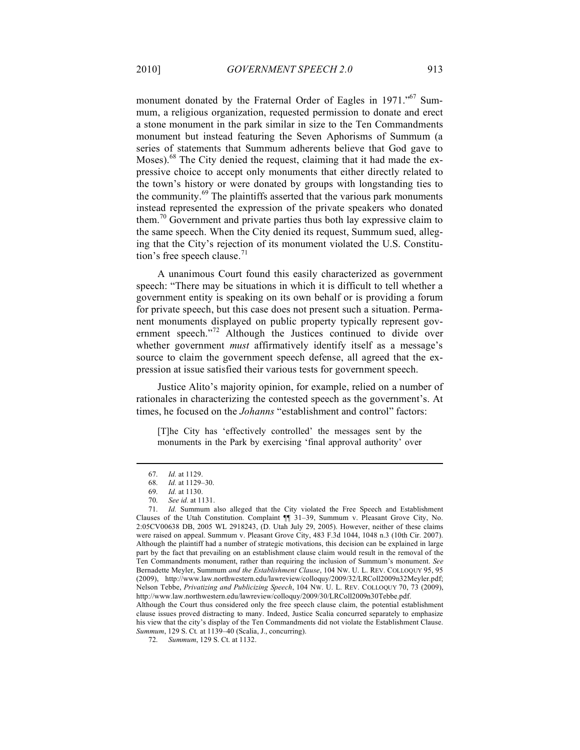monument donated by the Fraternal Order of Eagles in 1971."<sup>67</sup> Summum, a religious organization, requested permission to donate and erect a stone monument in the park similar in size to the Ten Commandments monument but instead featuring the Seven Aphorisms of Summum (a series of statements that Summum adherents believe that God gave to Moses).<sup>68</sup> The City denied the request, claiming that it had made the expressive choice to accept only monuments that either directly related to the town's history or were donated by groups with longstanding ties to the community.<sup>69</sup> The plaintiffs asserted that the various park monuments instead represented the expression of the private speakers who donated them.<sup>70</sup> Government and private parties thus both lay expressive claim to the same speech. When the City denied its request, Summum sued, alleging that the City's rejection of its monument violated the U.S. Constitution's free speech clause. $71$ 

A unanimous Court found this easily characterized as government speech: "There may be situations in which it is difficult to tell whether a government entity is speaking on its own behalf or is providing a forum for private speech, but this case does not present such a situation. Permanent monuments displayed on public property typically represent government speech."<sup>72</sup> Although the Justices continued to divide over whether government *must* affirmatively identify itself as a message's source to claim the government speech defense, all agreed that the expression at issue satisfied their various tests for government speech.

Justice Alito's majority opinion, for example, relied on a number of rationales in characterizing the contested speech as the government's. At times, he focused on the *Johanns* "establishment and control" factors:

[T]he City has 'effectively controlled' the messages sent by the monuments in the Park by exercising 'final approval authority' over

<sup>67.</sup> *Id.* at 1129.

<sup>68.</sup> *Id.* at 1129–30.

<sup>69.</sup> *Id.* at 1130.

<sup>70.</sup> *See id.* at 1131.

<sup>71.</sup> *Id.* Summum also alleged that the City violated the Free Speech and Establishment Clauses of the Utah Constitution. Complaint ¶¶ 31–39, Summum v. Pleasant Grove City, No. 2:05CV00638 DB, 2005 WL 2918243, (D. Utah July 29, 2005). However, neither of these claims were raised on appeal. Summum v. Pleasant Grove City, 483 F.3d 1044, 1048 n.3 (10th Cir. 2007). Although the plaintiff had a number of strategic motivations, this decision can be explained in large part by the fact that prevailing on an establishment clause claim would result in the removal of the Ten Commandments monument, rather than requiring the inclusion of Summum's monument. *See*  Bernadette Meyler, Summum *and the Establishment Clause*, 104 NW. U. L. REV. COLLOQUY 95, 95 (2009), http://www.law.northwestern.edu/lawreview/colloquy/2009/32/LRColl2009n32Meyler.pdf; Nelson Tebbe, *Privatizing and Publicizing Speech*, 104 NW. U. L. REV. COLLOQUY 70, 73 (2009), http://www.law.northwestern.edu/lawreview/colloquy/2009/30/LRColl2009n30Tebbe.pdf.

Although the Court thus considered only the free speech clause claim, the potential establishment clause issues proved distracting to many. Indeed, Justice Scalia concurred separately to emphasize his view that the city's display of the Ten Commandments did not violate the Establishment Clause. *Summum*, 129 S. Ct*.* at 1139–40 (Scalia, J., concurring).

<sup>72.</sup> *Summum*, 129 S. Ct. at 1132.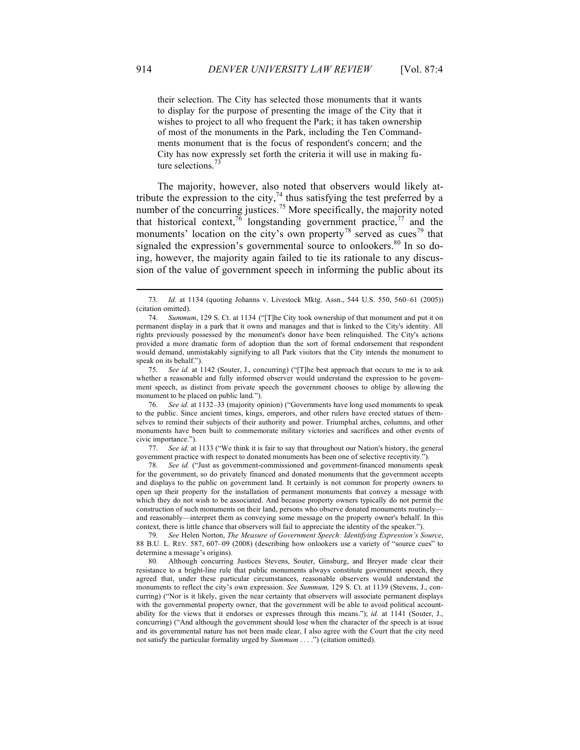their selection. The City has selected those monuments that it wants to display for the purpose of presenting the image of the City that it wishes to project to all who frequent the Park; it has taken ownership of most of the monuments in the Park, including the Ten Commandments monument that is the focus of respondent's concern; and the City has now expressly set forth the criteria it will use in making future selections.<sup>7</sup>

The majority, however, also noted that observers would likely attribute the expression to the city,<sup>74</sup> thus satisfying the test preferred by a number of the concurring justices.<sup>75</sup> More specifically, the majority noted that historical context,  $\sqrt[7]{\ }$  longstanding government practice,  $\sqrt[7]{\ }$  and the monuments' location on the city's own property<sup>78</sup> served as cues<sup>79</sup> that signaled the expression's governmental source to onlookers.<sup>80</sup> In so doing, however, the majority again failed to tie its rationale to any discussion of the value of government speech in informing the public about its

75. *See id.* at 1142 (Souter, J., concurring) ("[T]he best approach that occurs to me is to ask whether a reasonable and fully informed observer would understand the expression to be government speech, as distinct from private speech the government chooses to oblige by allowing the monument to be placed on public land.").

See id. at 1132–33 (majority opinion) ("Governments have long used monuments to speak to the public. Since ancient times, kings, emperors, and other rulers have erected statues of themselves to remind their subjects of their authority and power. Triumphal arches, columns, and other monuments have been built to commemorate military victories and sacrifices and other events of civic importance.").

77. *See id.* at 1133 ("We think it is fair to say that throughout our Nation's history, the general government practice with respect to donated monuments has been one of selective receptivity.").

78. *See id.* ("Just as government-commissioned and government-financed monuments speak for the government, so do privately financed and donated monuments that the government accepts and displays to the public on government land. It certainly is not common for property owners to open up their property for the installation of permanent monuments that convey a message with which they do not wish to be associated. And because property owners typically do not permit the construction of such monuments on their land, persons who observe donated monuments routinelyand reasonably—interpret them as conveying some message on the property owner's behalf. In this context, there is little chance that observers will fail to appreciate the identity of the speaker.").

79. *See* Helen Norton, *The Measure of Government Speech: Identifying Expression's Source*, 88 B.U. L. REV. 587, 607–09 (2008) (describing how onlookers use a variety of "source cues" to determine a message's origins).

80. Although concurring Justices Stevens, Souter, Ginsburg, and Breyer made clear their resistance to a bright-line rule that public monuments always constitute government speech, they agreed that, under these particular circumstances, reasonable observers would understand the monuments to reflect the city's own expression. *See Summum,* 129 S. Ct. at 1139 (Stevens, J., concurring) ("Nor is it likely, given the near certainty that observers will associate permanent displays with the governmental property owner, that the government will be able to avoid political accountability for the views that it endorses or expresses through this means."); *id.* at 1141 (Souter, J., concurring) ("And although the government should lose when the character of the speech is at issue and its governmental nature has not been made clear, I also agree with the Court that the city need not satisfy the particular formality urged by *Summum* . . . .") (citation omitted).

<sup>73.</sup> *Id.* at 1134 (quoting Johanns v. Livestock Mktg. Assn., 544 U.S. 550, 560–61 (2005)) (citation omitted).

<sup>74.</sup> *Summum*, 129 S. Ct. at 1134 ("[T]he City took ownership of that monument and put it on permanent display in a park that it owns and manages and that is linked to the City's identity. All rights previously possessed by the monument's donor have been relinquished. The City's actions provided a more dramatic form of adoption than the sort of formal endorsement that respondent would demand, unmistakably signifying to all Park visitors that the City intends the monument to speak on its behalf.").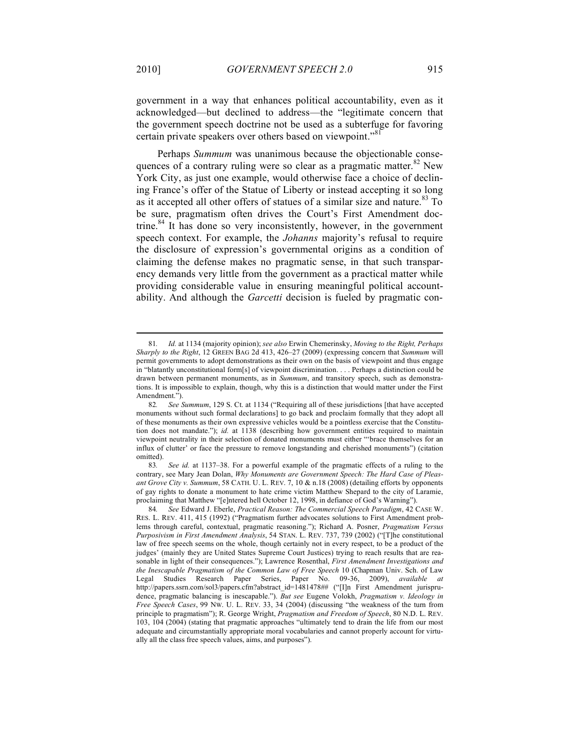government in a way that enhances political accountability, even as it acknowledged—but declined to address—the "legitimate concern that the government speech doctrine not be used as a subterfuge for favoring certain private speakers over others based on viewpoint."<sup>81</sup>

Perhaps *Summum* was unanimous because the objectionable consequences of a contrary ruling were so clear as a pragmatic matter.<sup>82</sup> New York City, as just one example, would otherwise face a choice of declining France's offer of the Statue of Liberty or instead accepting it so long as it accepted all other offers of statues of a similar size and nature.<sup>83</sup> To be sure, pragmatism often drives the Court's First Amendment doctrine.<sup>84</sup> It has done so very inconsistently, however, in the government speech context. For example, the *Johanns* majority's refusal to require the disclosure of expression's governmental origins as a condition of claiming the defense makes no pragmatic sense, in that such transparency demands very little from the government as a practical matter while providing considerable value in ensuring meaningful political accountability. And although the *Garcetti* decision is fueled by pragmatic con-

<sup>81</sup>*. Id.* at 1134 (majority opinion); *see also* Erwin Chemerinsky, *Moving to the Right, Perhaps Sharply to the Right*, 12 GREEN BAG 2d 413, 426–27 (2009) (expressing concern that *Summum* will permit governments to adopt demonstrations as their own on the basis of viewpoint and thus engage in "blatantly unconstitutional form[s] of viewpoint discrimination. . . . Perhaps a distinction could be drawn between permanent monuments, as in *Summum*, and transitory speech, such as demonstrations. It is impossible to explain, though, why this is a distinction that would matter under the First Amendment.").<br>82. See S

<sup>82</sup>*. See Summum*, 129 S. Ct. at 1134 ("Requiring all of these jurisdictions [that have accepted monuments without such formal declarations] to go back and proclaim formally that they adopt all of these monuments as their own expressive vehicles would be a pointless exercise that the Constitution does not mandate."); *id.* at 1138 (describing how government entities required to maintain viewpoint neutrality in their selection of donated monuments must either "'brace themselves for an influx of clutter' or face the pressure to remove longstanding and cherished monuments") (citation omitted).

<sup>83</sup>*. See id.* at 1137–38. For a powerful example of the pragmatic effects of a ruling to the contrary, see Mary Jean Dolan, *Why Monuments are Government Speech: The Hard Case of Pleasant Grove City v. Summum*, 58 CATH. U. L. REV. 7, 10 & n.18 (2008) (detailing efforts by opponents of gay rights to donate a monument to hate crime victim Matthew Shepard to the city of Laramie, proclaiming that Matthew "[e]ntered hell October 12, 1998, in defiance of God's Warning").

<sup>84</sup>*. See* Edward J. Eberle, *Practical Reason: The Commercial Speech Paradigm*, 42 CASE W. RES. L. REV. 411, 415 (1992) ("Pragmatism further advocates solutions to First Amendment problems through careful, contextual, pragmatic reasoning."); Richard A. Posner, *Pragmatism Versus Purposivism in First Amendment Analysis*, 54 STAN. L. REV. 737, 739 (2002) ("[T]he constitutional law of free speech seems on the whole, though certainly not in every respect, to be a product of the judges' (mainly they are United States Supreme Court Justices) trying to reach results that are reasonable in light of their consequences."); Lawrence Rosenthal, *First Amendment Investigations and the Inescapable Pragmatism of the Common Law of Free Speech* 10 (Chapman Univ. Sch. of Law Legal Studies Research Paper Series, Paper No. 09-36, 2009), *available at* http://papers.ssrn.com/sol3/papers.cfm?abstract\_id=1481478## ("[I]n First Amendment jurisprudence, pragmatic balancing is inescapable."). *But see* Eugene Volokh, *Pragmatism v. Ideology in Free Speech Cases*, 99 NW. U. L. REV. 33, 34 (2004) (discussing "the weakness of the turn from principle to pragmatism"); R. George Wright, *Pragmatism and Freedom of Speech*, 80 N.D. L. REV. 103, 104 (2004) (stating that pragmatic approaches "ultimately tend to drain the life from our most adequate and circumstantially appropriate moral vocabularies and cannot properly account for virtually all the class free speech values, aims, and purposes").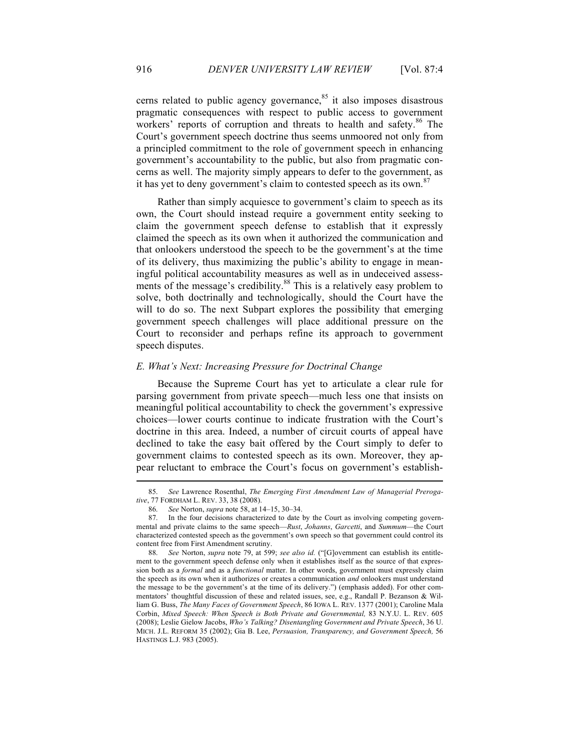cerns related to public agency governance, $85$  it also imposes disastrous pragmatic consequences with respect to public access to government workers' reports of corruption and threats to health and safety.<sup>86</sup> The Court's government speech doctrine thus seems unmoored not only from a principled commitment to the role of government speech in enhancing government's accountability to the public, but also from pragmatic concerns as well. The majority simply appears to defer to the government, as it has yet to deny government's claim to contested speech as its own.<sup>87</sup>

Rather than simply acquiesce to government's claim to speech as its own, the Court should instead require a government entity seeking to claim the government speech defense to establish that it expressly claimed the speech as its own when it authorized the communication and that onlookers understood the speech to be the government's at the time of its delivery, thus maximizing the public's ability to engage in meaningful political accountability measures as well as in undeceived assessments of the message's credibility.<sup>88</sup> This is a relatively easy problem to solve, both doctrinally and technologically, should the Court have the will to do so. The next Subpart explores the possibility that emerging government speech challenges will place additional pressure on the Court to reconsider and perhaps refine its approach to government speech disputes.

#### *E. What's Next: Increasing Pressure for Doctrinal Change*

Because the Supreme Court has yet to articulate a clear rule for parsing government from private speech—much less one that insists on meaningful political accountability to check the government's expressive choices—lower courts continue to indicate frustration with the Court's doctrine in this area. Indeed, a number of circuit courts of appeal have declined to take the easy bait offered by the Court simply to defer to government claims to contested speech as its own. Moreover, they appear reluctant to embrace the Court's focus on government's establish-

<sup>85.</sup> *See* Lawrence Rosenthal, *The Emerging First Amendment Law of Managerial Prerogative*, 77 FORDHAM L. REV. 33, 38 (2008).

<sup>86.</sup> *See* Norton, *supra* note 58, at 14–15, 30–34.

<sup>87.</sup> In the four decisions characterized to date by the Court as involving competing governmental and private claims to the same speech—*Rust*, *Johanns*, *Garcetti*, and *Summum*—the Court characterized contested speech as the government's own speech so that government could control its content free from First Amendment scrutiny.

<sup>88.</sup> *See* Norton, *supra* note 79, at 599; *see also id.* ("[G]overnment can establish its entitlement to the government speech defense only when it establishes itself as the source of that expression both as a *formal* and as a *functional* matter. In other words, government must expressly claim the speech as its own when it authorizes or creates a communication *and* onlookers must understand the message to be the government's at the time of its delivery.") (emphasis added). For other commentators' thoughtful discussion of these and related issues, see, e.g., Randall P. Bezanson & William G. Buss, *The Many Faces of Government Speech*, 86 IOWA L. REV. 1377 (2001); Caroline Mala Corbin, *Mixed Speech: When Speech is Both Private and Governmental,* 83 N.Y.U. L. REV. 605 (2008); Leslie Gielow Jacobs, *Who's Talking? Disentangling Government and Private Speech*, 36 U. MICH. J.L. REFORM 35 (2002); Gia B. Lee, *Persuasion, Transparency, and Government Speech,* 56 HASTINGS L.J. 983 (2005).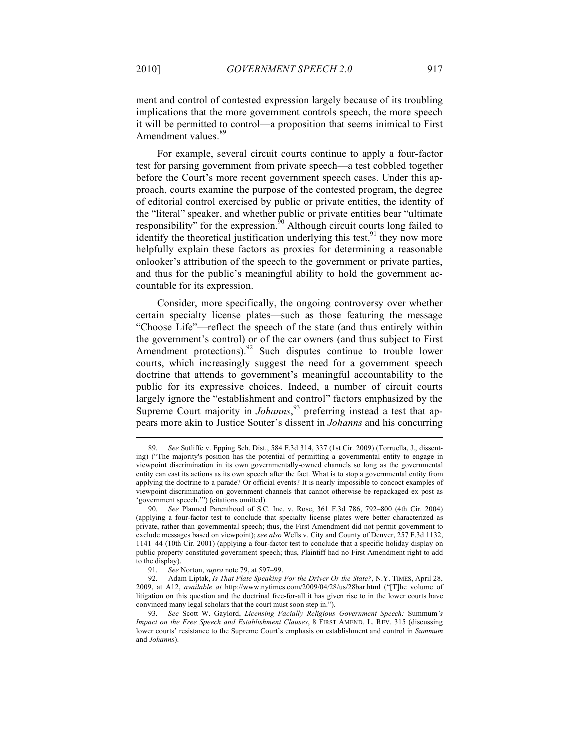ment and control of contested expression largely because of its troubling implications that the more government controls speech, the more speech it will be permitted to control—a proposition that seems inimical to First Amendment values.<sup>89</sup>

For example, several circuit courts continue to apply a four-factor test for parsing government from private speech—a test cobbled together before the Court's more recent government speech cases. Under this approach, courts examine the purpose of the contested program, the degree of editorial control exercised by public or private entities, the identity of the "literal" speaker, and whether public or private entities bear "ultimate responsibility" for the expression.<sup> $\frac{\delta}{20}$ </sup> Although circuit courts long failed to identify the theoretical justification underlying this test,  $91$  they now more helpfully explain these factors as proxies for determining a reasonable onlooker's attribution of the speech to the government or private parties, and thus for the public's meaningful ability to hold the government accountable for its expression.

Consider, more specifically, the ongoing controversy over whether certain specialty license plates—such as those featuring the message "Choose Life"—reflect the speech of the state (and thus entirely within the government's control) or of the car owners (and thus subject to First Amendment protections).<sup>92</sup> Such disputes continue to trouble lower courts, which increasingly suggest the need for a government speech doctrine that attends to government's meaningful accountability to the public for its expressive choices. Indeed, a number of circuit courts largely ignore the "establishment and control" factors emphasized by the Supreme Court majority in *Johanns*, 93 preferring instead a test that appears more akin to Justice Souter's dissent in *Johanns* and his concurring

<sup>89.</sup> *See* Sutliffe v. Epping Sch. Dist., 584 F.3d 314, 337 (1st Cir. 2009) (Torruella, J., dissenting) ("The majority's position has the potential of permitting a governmental entity to engage in viewpoint discrimination in its own governmentally-owned channels so long as the governmental entity can cast its actions as its own speech after the fact. What is to stop a governmental entity from applying the doctrine to a parade? Or official events? It is nearly impossible to concoct examples of viewpoint discrimination on government channels that cannot otherwise be repackaged ex post as 'government speech.'") (citations omitted).

<sup>90.</sup> *See* Planned Parenthood of S.C. Inc. v. Rose, 361 F.3d 786, 792–800 (4th Cir. 2004) (applying a four-factor test to conclude that specialty license plates were better characterized as private, rather than governmental speech; thus, the First Amendment did not permit government to exclude messages based on viewpoint); *see also* Wells v. City and County of Denver, 257 F.3d 1132, 1141–44 (10th Cir. 2001) (applying a four-factor test to conclude that a specific holiday display on public property constituted government speech; thus, Plaintiff had no First Amendment right to add to the display).

<sup>91.</sup> *See* Norton, *supra* note 79, at 597–99.

<sup>92.</sup> Adam Liptak, *Is That Plate Speaking For the Driver Or the State?*, N.Y. TIMES, April 28, 2009, at A12, *available at* http://www.nytimes.com/2009/04/28/us/28bar.html ("[T]he volume of litigation on this question and the doctrinal free-for-all it has given rise to in the lower courts have convinced many legal scholars that the court must soon step in.").

<sup>93.</sup> *See* Scott W. Gaylord, *Licensing Facially Religious Government Speech:* Summum*'s Impact on the Free Speech and Establishment Clauses*, 8 FIRST AMEND. L. REV. 315 (discussing lower courts' resistance to the Supreme Court's emphasis on establishment and control in *Summum* and *Johanns*).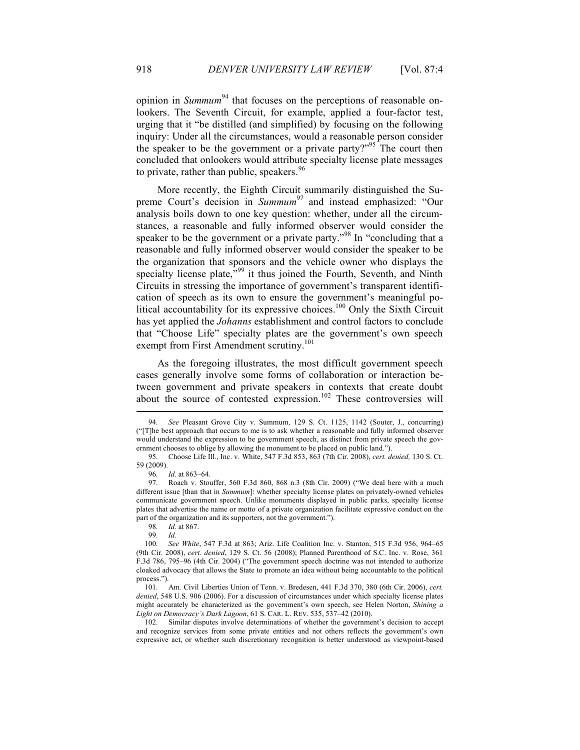opinion in *Summum*<sup>94</sup> that focuses on the perceptions of reasonable onlookers. The Seventh Circuit, for example, applied a four-factor test, urging that it "be distilled (and simplified) by focusing on the following inquiry: Under all the circumstances, would a reasonable person consider the speaker to be the government or a private party?"<sup>95</sup> The court then concluded that onlookers would attribute specialty license plate messages to private, rather than public, speakers.  $96$ 

More recently, the Eighth Circuit summarily distinguished the Supreme Court's decision in *Summum*<sup>97</sup> and instead emphasized: "Our analysis boils down to one key question: whether, under all the circumstances, a reasonable and fully informed observer would consider the speaker to be the government or a private party."<sup>98</sup> In "concluding that a reasonable and fully informed observer would consider the speaker to be the organization that sponsors and the vehicle owner who displays the specialty license plate,<sup>"99</sup> it thus joined the Fourth, Seventh, and Ninth Circuits in stressing the importance of government's transparent identification of speech as its own to ensure the government's meaningful political accountability for its expressive choices.<sup>100</sup> Only the Sixth Circuit has yet applied the *Johanns* establishment and control factors to conclude that "Choose Life" specialty plates are the government's own speech exempt from First Amendment scrutiny.<sup>101</sup>

As the foregoing illustrates, the most difficult government speech cases generally involve some forms of collaboration or interaction between government and private speakers in contexts that create doubt about the source of contested expression.<sup>102</sup> These controversies will

<sup>94.</sup> *See* Pleasant Grove City v. Summum*,* 129 S. Ct. 1125, 1142 (Souter, J., concurring) ("[T]he best approach that occurs to me is to ask whether a reasonable and fully informed observer would understand the expression to be government speech, as distinct from private speech the government chooses to oblige by allowing the monument to be placed on public land.").

<sup>95.</sup> Choose Life Ill., Inc. v. White, 547 F.3d 853, 863 (7th Cir. 2008), *cert. denied,* 130 S. Ct. 59 (2009).

<sup>96</sup>*. Id.* at 863–64.

<sup>97.</sup> Roach v. Stouffer, 560 F.3d 860, 868 n.3 (8th Cir. 2009) ("We deal here with a much different issue [than that in *Summum*]: whether specialty license plates on privately-owned vehicles communicate government speech. Unlike monuments displayed in public parks, specialty license plates that advertise the name or motto of a private organization facilitate expressive conduct on the part of the organization and its supporters, not the government.").

<sup>98.</sup> *Id.* at 867.

 $Id$ 

<sup>100.</sup> *See White*, 547 F.3d at 863; Ariz. Life Coalition Inc. v. Stanton, 515 F.3d 956, 964–65 (9th Cir. 2008), *cert. denied*, 129 S. Ct. 56 (2008); Planned Parenthood of S.C. Inc. v. Rose, 361 F.3d 786, 795–96 (4th Cir. 2004) ("The government speech doctrine was not intended to authorize cloaked advocacy that allows the State to promote an idea without being accountable to the political process.").

<sup>101.</sup> Am. Civil Liberties Union of Tenn. v. Bredesen, 441 F.3d 370, 380 (6th Cir. 2006), *cert. denied*, 548 U.S. 906 (2006). For a discussion of circumstances under which specialty license plates might accurately be characterized as the government's own speech, see Helen Norton, *Shining a Light on Democracy's Dark Lagoon*, 61 S. CAR. L. REV. 535, 537–42 (2010).

<sup>102.</sup> Similar disputes involve determinations of whether the government's decision to accept and recognize services from some private entities and not others reflects the government's own expressive act, or whether such discretionary recognition is better understood as viewpoint-based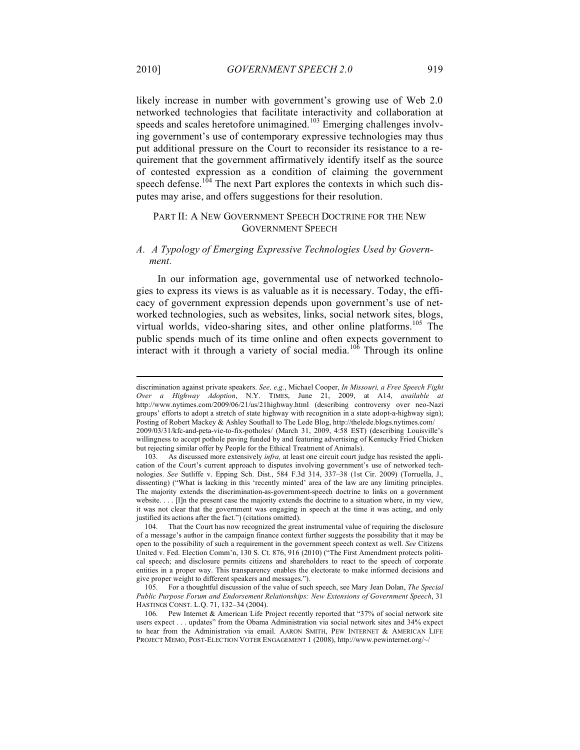likely increase in number with government's growing use of Web 2.0 networked technologies that facilitate interactivity and collaboration at speeds and scales heretofore unimagined.<sup>103</sup> Emerging challenges involving government's use of contemporary expressive technologies may thus put additional pressure on the Court to reconsider its resistance to a requirement that the government affirmatively identify itself as the source of contested expression as a condition of claiming the government speech defense.<sup>104</sup> The next Part explores the contexts in which such disputes may arise, and offers suggestions for their resolution.

#### PART II: A NEW GOVERNMENT SPEECH DOCTRINE FOR THE NEW GOVERNMENT SPEECH

#### *A. A Typology of Emerging Expressive Technologies Used by Government.*

In our information age, governmental use of networked technologies to express its views is as valuable as it is necessary. Today, the efficacy of government expression depends upon government's use of networked technologies, such as websites, links, social network sites, blogs, virtual worlds, video-sharing sites, and other online platforms.<sup>105</sup> The public spends much of its time online and often expects government to interact with it through a variety of social media.<sup>106</sup> Through its online

discrimination against private speakers. *See, e.g.*, Michael Cooper, *In Missouri, a Free Speech Fight Over a Highway Adoption*, N.Y. TIMES, June 21, 2009, at A14, *available at*  http://www.nytimes.com/2009/06/21/us/21highway.html (describing controversy over neo-Nazi groups' efforts to adopt a stretch of state highway with recognition in a state adopt-a-highway sign); Posting of Robert Mackey & Ashley Southall to The Lede Blog, http://thelede.blogs.nytimes.com/ 2009/03/31/kfc-and-peta-vie-to-fix-potholes/ (March 31, 2009, 4:58 EST) (describing Louisville's willingness to accept pothole paving funded by and featuring advertising of Kentucky Fried Chicken but rejecting similar offer by People for the Ethical Treatment of Animals).

<sup>103.</sup> As discussed more extensively *infra,* at least one circuit court judge has resisted the application of the Court's current approach to disputes involving government's use of networked technologies. *See* Sutliffe v. Epping Sch. Dist., 584 F.3d 314, 337–38 (1st Cir. 2009) (Torruella, J., dissenting) ("What is lacking in this 'recently minted' area of the law are any limiting principles. The majority extends the discrimination-as-government-speech doctrine to links on a government website. . . . [I]n the present case the majority extends the doctrine to a situation where, in my view, it was not clear that the government was engaging in speech at the time it was acting, and only justified its actions after the fact.") (citations omitted).

<sup>104.</sup> That the Court has now recognized the great instrumental value of requiring the disclosure of a message's author in the campaign finance context further suggests the possibility that it may be open to the possibility of such a requirement in the government speech context as well. *See* Citizens United v. Fed. Election Comm'n, 130 S. Ct. 876, 916 (2010) ("The First Amendment protects political speech; and disclosure permits citizens and shareholders to react to the speech of corporate entities in a proper way. This transparency enables the electorate to make informed decisions and give proper weight to different speakers and messages.").

<sup>105.</sup> For a thoughtful discussion of the value of such speech, see Mary Jean Dolan, *The Special Public Purpose Forum and Endorsement Relationships: New Extensions of Government Speech*, 31 HASTINGS CONST. L.Q. 71, 132–34 (2004).

<sup>106.</sup> Pew Internet & American Life Project recently reported that "37% of social network site users expect . . . updates" from the Obama Administration via social network sites and 34% expect to hear from the Administration via email. AARON SMITH, PEW INTERNET & AMERICAN LIFE PROJECT MEMO, POST-ELECTION VOTER ENGAGEMENT 1 (2008), http://www.pewinternet.org/~/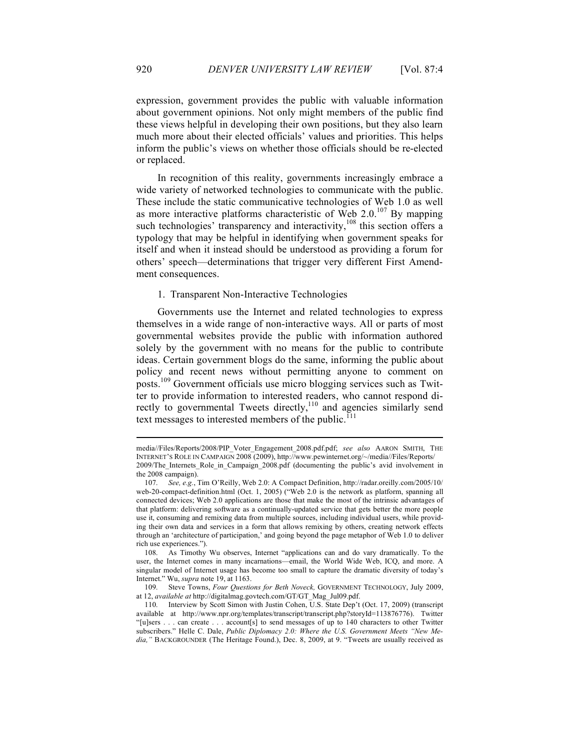expression, government provides the public with valuable information about government opinions. Not only might members of the public find these views helpful in developing their own positions, but they also learn much more about their elected officials' values and priorities. This helps inform the public's views on whether those officials should be re-elected or replaced.

In recognition of this reality, governments increasingly embrace a wide variety of networked technologies to communicate with the public. These include the static communicative technologies of Web 1.0 as well as more interactive platforms characteristic of Web  $2.0^{107}$  By mapping such technologies' transparency and interactivity, $108$  this section offers a typology that may be helpful in identifying when government speaks for itself and when it instead should be understood as providing a forum for others' speech—determinations that trigger very different First Amendment consequences.

#### 1. Transparent Non-Interactive Technologies

Governments use the Internet and related technologies to express themselves in a wide range of non-interactive ways. All or parts of most governmental websites provide the public with information authored solely by the government with no means for the public to contribute ideas. Certain government blogs do the same, informing the public about policy and recent news without permitting anyone to comment on posts.109 Government officials use micro blogging services such as Twitter to provide information to interested readers, who cannot respond directly to governmental Tweets directly,<sup>110</sup> and agencies similarly send text messages to interested members of the public.<sup>111</sup>

media//Files/Reports/2008/PIP\_Voter\_Engagement\_2008.pdf.pdf; *see also* AARON SMITH, THE INTERNET'S ROLE IN CAMPAIGN 2008 (2009), http://www.pewinternet.org/~/media//Files/Reports/ 2009/The Internets Role in Campaign 2008.pdf (documenting the public's avid involvement in the 2008 campaign).

<sup>107.</sup> *See, e.g.*, Tim O'Reilly, Web 2.0: A Compact Definition, http://radar.oreilly.com/2005/10/ web-20-compact-definition.html (Oct. 1, 2005) ("Web 2.0 is the network as platform, spanning all connected devices; Web 2.0 applications are those that make the most of the intrinsic advantages of that platform: delivering software as a continually-updated service that gets better the more people use it, consuming and remixing data from multiple sources, including individual users, while providing their own data and services in a form that allows remixing by others, creating network effects through an 'architecture of participation,' and going beyond the page metaphor of Web 1.0 to deliver rich use experiences.").

<sup>108.</sup> As Timothy Wu observes, Internet "applications can and do vary dramatically. To the user, the Internet comes in many incarnations—email, the World Wide Web, ICQ, and more. A singular model of Internet usage has become too small to capture the dramatic diversity of today's Internet." Wu, *supra* note 19, at 1163.

<sup>109.</sup> Steve Towns, *Four Questions for Beth Noveck,* GOVERNMENT TECHNOLOGY, July 2009, at 12, *available at* http://digitalmag.govtech.com/GT/GT\_Mag\_Jul09.pdf.

<sup>110.</sup> Interview by Scott Simon with Justin Cohen, U.S. State Dep't (Oct. 17, 2009) (transcript available at http://www.npr.org/templates/transcript/transcript.php?storyId=113876776). Twitter "[u]sers . . . can create . . . account[s] to send messages of up to 140 characters to other Twitter subscribers." Helle C. Dale, *Public Diplomacy 2.0: Where the U.S. Government Meets "New Media,"* BACKGROUNDER (The Heritage Found.), Dec. 8, 2009, at 9. "Tweets are usually received as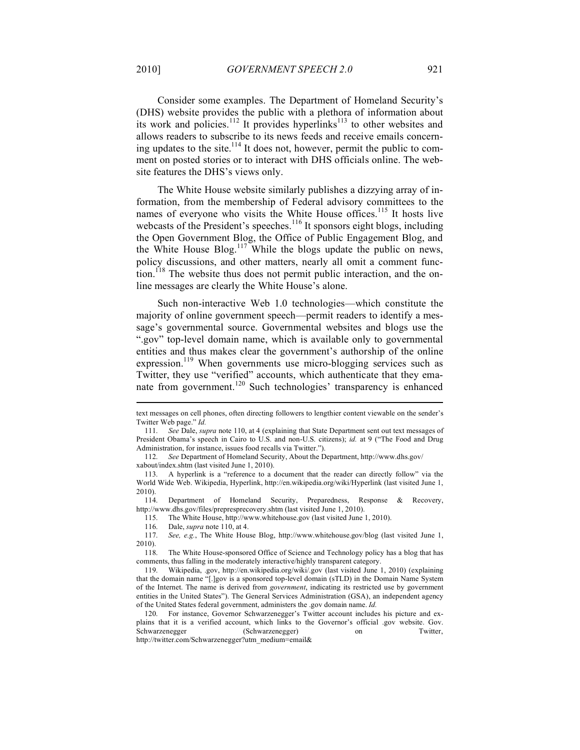Consider some examples. The Department of Homeland Security's (DHS) website provides the public with a plethora of information about its work and policies.<sup>112</sup> It provides hyperlinks<sup>113</sup> to other websites and allows readers to subscribe to its news feeds and receive emails concerning updates to the site.<sup>114</sup> It does not, however, permit the public to comment on posted stories or to interact with DHS officials online. The website features the DHS's views only.

The White House website similarly publishes a dizzying array of information, from the membership of Federal advisory committees to the names of everyone who visits the White House offices.<sup>115</sup> It hosts live webcasts of the President's speeches.<sup>116</sup> It sponsors eight blogs, including the Open Government Blog, the Office of Public Engagement Blog, and the White House Blog.<sup>117</sup> While the blogs update the public on news, policy discussions, and other matters, nearly all omit a comment function.<sup>118</sup> The website thus does not permit public interaction, and the online messages are clearly the White House's alone.

Such non-interactive Web 1.0 technologies—which constitute the majority of online government speech—permit readers to identify a message's governmental source. Governmental websites and blogs use the ".gov" top-level domain name, which is available only to governmental entities and thus makes clear the government's authorship of the online expression.<sup>119</sup> When governments use micro-blogging services such as Twitter, they use "verified" accounts, which authenticate that they emanate from government.<sup>120</sup> Such technologies' transparency is enhanced

114. Department of Homeland Security, Preparedness, Response & Recovery, http://www.dhs.gov/files/prepresprecovery.shtm (last visited June 1, 2010).

115. The White House, http://www.whitehouse.gov (last visited June 1, 2010).

text messages on cell phones, often directing followers to lengthier content viewable on the sender's Twitter Web page." *Id.*

<sup>111.</sup> *See* Dale, *supra* note 110, at 4 (explaining that State Department sent out text messages of President Obama's speech in Cairo to U.S. and non-U.S. citizens); *id.* at 9 ("The Food and Drug Administration, for instance, issues food recalls via Twitter.").

<sup>112.</sup> *See* Department of Homeland Security, About the Department, http://www.dhs.gov/ xabout/index.shtm (last visited June 1, 2010).

<sup>113.</sup> A hyperlink is a "reference to a document that the reader can directly follow" via the World Wide Web. Wikipedia, Hyperlink, http://en.wikipedia.org/wiki/Hyperlink (last visited June 1, 2010).

<sup>116.</sup> Dale, *supra* note 110, at 4.

See, e.g., The White House Blog, http://www.whitehouse.gov/blog (last visited June 1, 2010).

<sup>118.</sup> The White House-sponsored Office of Science and Technology policy has a blog that has comments, thus falling in the moderately interactive/highly transparent category.

<sup>119.</sup> Wikipedia, .gov, http://en.wikipedia.org/wiki/.gov (last visited June 1, 2010) (explaining that the domain name "[.]gov is a sponsored top-level domain (sTLD) in the Domain Name System of the Internet. The name is derived from *government*, indicating its restricted use by government entities in the United States"). The General Services Administration (GSA), an independent agency of the United States federal government, administers the .gov domain name. *Id.*

<sup>120.</sup> For instance, Governor Schwarzenegger's Twitter account includes his picture and explains that it is a verified account, which links to the Governor's official .gov website. Gov. Schwarzenegger (Schwarzenegger) on Twitter, http://twitter.com/Schwarzenegger?utm\_medium=email&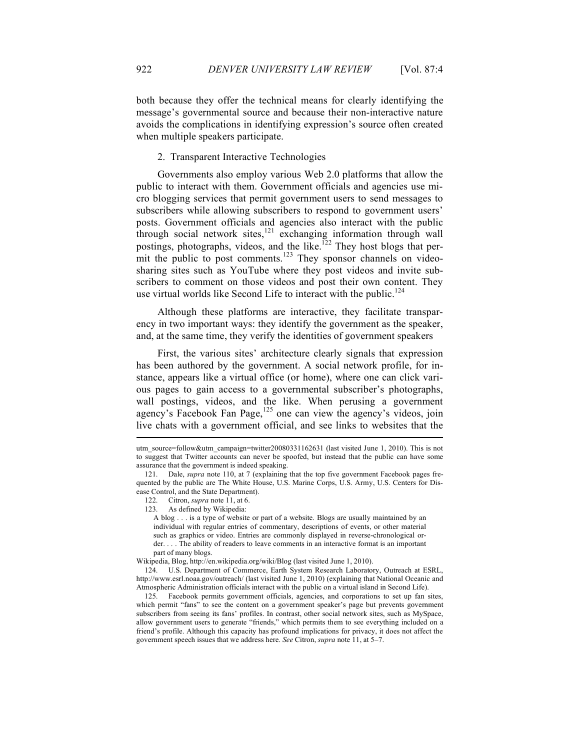both because they offer the technical means for clearly identifying the message's governmental source and because their non-interactive nature avoids the complications in identifying expression's source often created when multiple speakers participate.

#### 2. Transparent Interactive Technologies

Governments also employ various Web 2.0 platforms that allow the public to interact with them. Government officials and agencies use micro blogging services that permit government users to send messages to subscribers while allowing subscribers to respond to government users' posts. Government officials and agencies also interact with the public through social network sites, $121$  exchanging information through wall postings, photographs, videos, and the like.<sup>122</sup> They host blogs that permit the public to post comments.<sup>123</sup> They sponsor channels on videosharing sites such as YouTube where they post videos and invite subscribers to comment on those videos and post their own content. They use virtual worlds like Second Life to interact with the public. $124$ 

Although these platforms are interactive, they facilitate transparency in two important ways: they identify the government as the speaker, and, at the same time, they verify the identities of government speakers

First, the various sites' architecture clearly signals that expression has been authored by the government. A social network profile, for instance, appears like a virtual office (or home), where one can click various pages to gain access to a governmental subscriber's photographs, wall postings, videos, and the like. When perusing a government agency's Facebook Fan Page,<sup>125</sup> one can view the agency's videos, join live chats with a government official, and see links to websites that the

utm\_source=follow&utm\_campaign=twitter20080331162631 (last visited June 1, 2010). This is not to suggest that Twitter accounts can never be spoofed, but instead that the public can have some assurance that the government is indeed speaking.

Dale, *supra* note 110, at 7 (explaining that the top five government Facebook pages frequented by the public are The White House, U.S. Marine Corps, U.S. Army, U.S. Centers for Disease Control, and the State Department).

<sup>122.</sup> Citron, *supra* note 11, at 6.

<sup>123.</sup> As defined by Wikipedia:

A blog . . . is a type of website or part of a website. Blogs are usually maintained by an individual with regular entries of commentary, descriptions of events, or other material such as graphics or video. Entries are commonly displayed in reverse-chronological order. . . . The ability of readers to leave comments in an interactive format is an important part of many blogs.

Wikipedia, Blog, http://en.wikipedia.org/wiki/Blog (last visited June 1, 2010).

<sup>124.</sup> U.S. Department of Commerce, Earth System Research Laboratory, Outreach at ESRL, http://www.esrl.noaa.gov/outreach/ (last visited June 1, 2010) (explaining that National Oceanic and Atmospheric Administration officials interact with the public on a virtual island in Second Life).

<sup>125.</sup> Facebook permits government officials, agencies, and corporations to set up fan sites, which permit "fans" to see the content on a government speaker's page but prevents government subscribers from seeing its fans' profiles. In contrast, other social network sites, such as MySpace, allow government users to generate "friends," which permits them to see everything included on a friend's profile. Although this capacity has profound implications for privacy, it does not affect the government speech issues that we address here. *See* Citron, *supra* note 11, at 5–7.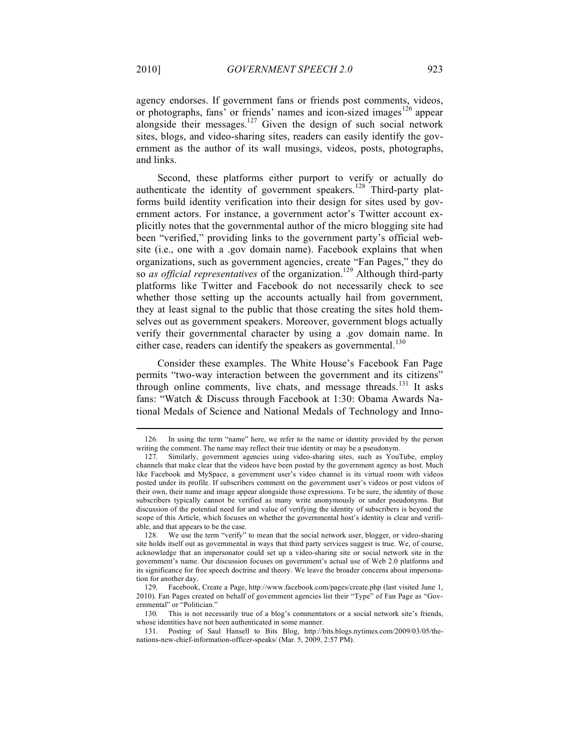agency endorses. If government fans or friends post comments, videos, or photographs, fans' or friends' names and icon-sized images<sup>126</sup> appear alongside their messages.<sup>127</sup> Given the design of such social network sites, blogs, and video-sharing sites, readers can easily identify the government as the author of its wall musings, videos, posts, photographs, and links.

Second, these platforms either purport to verify or actually do authenticate the identity of government speakers.<sup>128</sup> Third-party platforms build identity verification into their design for sites used by government actors. For instance, a government actor's Twitter account explicitly notes that the governmental author of the micro blogging site had been "verified," providing links to the government party's official website (i.e., one with a .gov domain name). Facebook explains that when organizations, such as government agencies, create "Fan Pages," they do so *as official representatives* of the organization.<sup>129</sup> Although third-party platforms like Twitter and Facebook do not necessarily check to see whether those setting up the accounts actually hail from government, they at least signal to the public that those creating the sites hold themselves out as government speakers. Moreover, government blogs actually verify their governmental character by using a .gov domain name. In either case, readers can identify the speakers as governmental.<sup>130</sup>

Consider these examples. The White House's Facebook Fan Page permits "two-way interaction between the government and its citizens" through online comments, live chats, and message threads.<sup>131</sup> It asks fans: "Watch & Discuss through Facebook at 1:30: Obama Awards National Medals of Science and National Medals of Technology and Inno-

130. This is not necessarily true of a blog's commentators or a social network site's friends, whose identities have not been authenticated in some manner.

<sup>126.</sup> In using the term "name" here, we refer to the name or identity provided by the person writing the comment. The name may reflect their true identity or may be a pseudonym.

<sup>127.</sup> Similarly, government agencies using video-sharing sites, such as YouTube, employ channels that make clear that the videos have been posted by the government agency as host. Much like Facebook and MySpace, a government user's video channel is its virtual room with videos posted under its profile. If subscribers comment on the government user's videos or post videos of their own, their name and image appear alongside those expressions. To be sure, the identity of those subscribers typically cannot be verified as many write anonymously or under pseudonyms. But discussion of the potential need for and value of verifying the identity of subscribers is beyond the scope of this Article, which focuses on whether the governmental host's identity is clear and verifiable, and that appears to be the case.

<sup>128.</sup> We use the term "verify" to mean that the social network user, blogger, or video-sharing site holds itself out as governmental in ways that third party services suggest is true. We, of course, acknowledge that an impersonator could set up a video-sharing site or social network site in the government's name. Our discussion focuses on government's actual use of Web 2.0 platforms and its significance for free speech doctrine and theory. We leave the broader concerns about impersonation for another day.

<sup>129.</sup> Facebook, Create a Page, http://www.facebook.com/pages/create.php (last visited June 1, 2010). Fan Pages created on behalf of government agencies list their "Type" of Fan Page as "Governmental" or "Politician."

<sup>131.</sup> Posting of Saul Hansell to Bits Blog, http://bits.blogs.nytimes.com/2009/03/05/thenations-new-chief-information-officer-speaks/ (Mar. 5, 2009, 2:57 PM).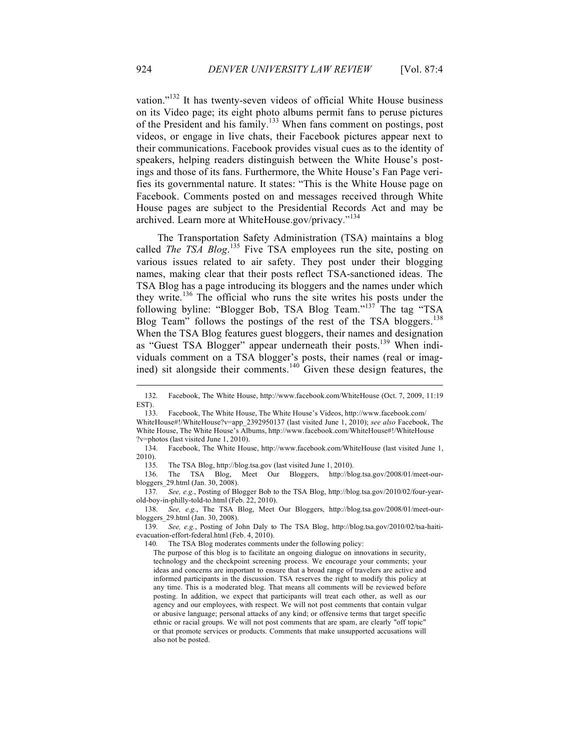vation."<sup>132</sup> It has twenty-seven videos of official White House business on its Video page; its eight photo albums permit fans to peruse pictures of the President and his family.<sup>133</sup> When fans comment on postings, post videos, or engage in live chats, their Facebook pictures appear next to their communications. Facebook provides visual cues as to the identity of speakers, helping readers distinguish between the White House's postings and those of its fans. Furthermore, the White House's Fan Page verifies its governmental nature. It states: "This is the White House page on Facebook. Comments posted on and messages received through White House pages are subject to the Presidential Records Act and may be archived. Learn more at WhiteHouse.gov/privacy."<sup>134</sup>

The Transportation Safety Administration (TSA) maintains a blog called *The TSA Blog*.<sup>135</sup> Five TSA employees run the site, posting on various issues related to air safety. They post under their blogging names, making clear that their posts reflect TSA-sanctioned ideas. The TSA Blog has a page introducing its bloggers and the names under which they write.136 The official who runs the site writes his posts under the following byline: "Blogger Bob, TSA Blog Team."137 The tag "TSA Blog Team" follows the postings of the rest of the TSA bloggers.<sup>138</sup> When the TSA Blog features guest bloggers, their names and designation as "Guest TSA Blogger" appear underneath their posts.<sup>139</sup> When individuals comment on a TSA blogger's posts, their names (real or imagined) sit alongside their comments.140 Given these design features, the

135. The TSA Blog, http://blog.tsa.gov (last visited June 1, 2010).

136. The TSA Blog, Meet Our Bloggers, http://blog.tsa.gov/2008/01/meet-ourbloggers\_29.html (Jan. 30, 2008).

137*. See, e.g.*, Posting of Blogger Bob to the TSA Blog, http://blog.tsa.gov/2010/02/four-yearold-boy-in-philly-told-to.html (Feb. 22, 2010).

138. *See, e.g.*, The TSA Blog, Meet Our Bloggers, http://blog.tsa.gov/2008/01/meet-ourbloggers\_29.html (Jan. 30, 2008).

139. *See, e.g.*, Posting of John Daly to The TSA Blog, http://blog.tsa.gov/2010/02/tsa-haitievacuation-effort-federal.html (Feb. 4, 2010).

140. The TSA Blog moderates comments under the following policy:

The purpose of this blog is to facilitate an ongoing dialogue on innovations in security, technology and the checkpoint screening process. We encourage your comments; your ideas and concerns are important to ensure that a broad range of travelers are active and informed participants in the discussion. TSA reserves the right to modify this policy at any time. This is a moderated blog. That means all comments will be reviewed before posting. In addition, we expect that participants will treat each other, as well as our agency and our employees, with respect. We will not post comments that contain vulgar or abusive language; personal attacks of any kind; or offensive terms that target specific ethnic or racial groups. We will not post comments that are spam, are clearly "off topic" or that promote services or products. Comments that make unsupported accusations will also not be posted.

<sup>132.</sup> Facebook, The White House, http://www.facebook.com/WhiteHouse (Oct. 7, 2009, 11:19 EST).<br>133.

<sup>133.</sup> Facebook, The White House, The White House's Videos, http://www.facebook.com/ WhiteHouse#!/WhiteHouse?v=app\_2392950137 (last visited June 1, 2010); *see also* Facebook, The White House, The White House's Albums, http://www.facebook.com/WhiteHouse#!/WhiteHouse ?v=photos (last visited June 1, 2010).

<sup>134.</sup> Facebook, The White House, http://www.facebook.com/WhiteHouse (last visited June 1, 2010).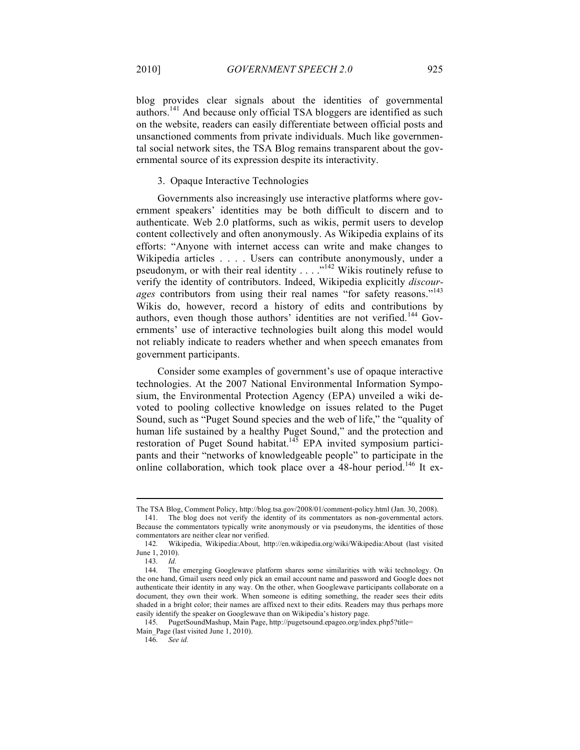blog provides clear signals about the identities of governmental authors.141 And because only official TSA bloggers are identified as such on the website, readers can easily differentiate between official posts and unsanctioned comments from private individuals. Much like governmental social network sites, the TSA Blog remains transparent about the governmental source of its expression despite its interactivity.

#### 3. Opaque Interactive Technologies

Governments also increasingly use interactive platforms where government speakers' identities may be both difficult to discern and to authenticate. Web 2.0 platforms, such as wikis, permit users to develop content collectively and often anonymously. As Wikipedia explains of its efforts: "Anyone with internet access can write and make changes to Wikipedia articles . . . . Users can contribute anonymously, under a pseudonym, or with their real identity  $\ldots$  ..."<sup>142</sup> Wikis routinely refuse to verify the identity of contributors. Indeed, Wikipedia explicitly *discourages* contributors from using their real names "for safety reasons."<sup>143</sup> Wikis do, however, record a history of edits and contributions by authors, even though those authors' identities are not verified.<sup>144</sup> Governments' use of interactive technologies built along this model would not reliably indicate to readers whether and when speech emanates from government participants.

Consider some examples of government's use of opaque interactive technologies. At the 2007 National Environmental Information Symposium, the Environmental Protection Agency (EPA) unveiled a wiki devoted to pooling collective knowledge on issues related to the Puget Sound, such as "Puget Sound species and the web of life," the "quality of human life sustained by a healthy Puget Sound," and the protection and restoration of Puget Sound habitat.<sup>145</sup> EPA invited symposium participants and their "networks of knowledgeable people" to participate in the online collaboration, which took place over a 48-hour period.<sup>146</sup> It ex-

The TSA Blog, Comment Policy, http://blog.tsa.gov/2008/01/comment-policy.html (Jan. 30, 2008).

<sup>141.</sup> The blog does not verify the identity of its commentators as non-governmental actors. Because the commentators typically write anonymously or via pseudonyms, the identities of those commentators are neither clear nor verified.

<sup>142.</sup> Wikipedia, Wikipedia:About, http://en.wikipedia.org/wiki/Wikipedia:About (last visited June 1, 2010).

<sup>143.</sup> *Id.*

<sup>144.</sup> The emerging Googlewave platform shares some similarities with wiki technology. On the one hand, Gmail users need only pick an email account name and password and Google does not authenticate their identity in any way. On the other, when Googlewave participants collaborate on a document, they own their work. When someone is editing something, the reader sees their edits shaded in a bright color; their names are affixed next to their edits. Readers may thus perhaps more easily identify the speaker on Googlewave than on Wikipedia's history page.

<sup>145.</sup> PugetSoundMashup, Main Page, http://pugetsound.epageo.org/index.php5?title= Main\_Page (last visited June 1, 2010).<br>146. See id.

 $See$ *id.*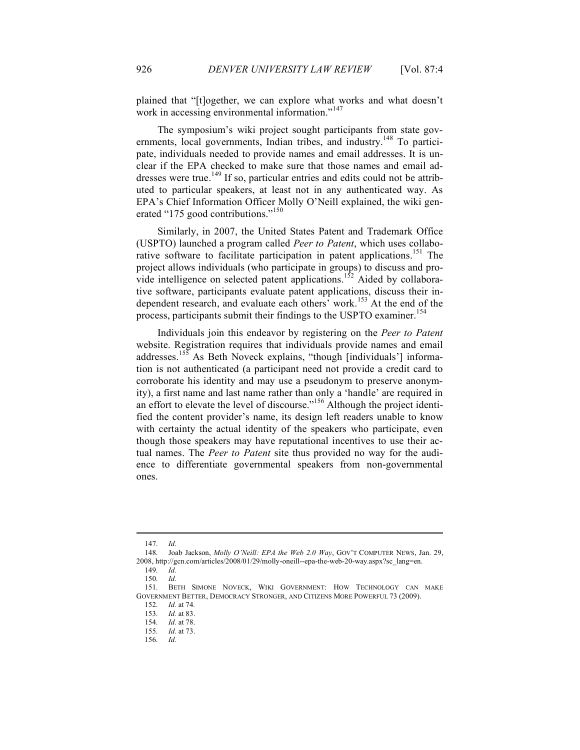plained that "[t]ogether, we can explore what works and what doesn't work in accessing environmental information. $147$ 

The symposium's wiki project sought participants from state governments, local governments, Indian tribes, and industry.<sup>148</sup> To participate, individuals needed to provide names and email addresses. It is unclear if the EPA checked to make sure that those names and email addresses were true.<sup>149</sup> If so, particular entries and edits could not be attributed to particular speakers, at least not in any authenticated way. As EPA's Chief Information Officer Molly O'Neill explained, the wiki generated "175 good contributions."<sup>150</sup>

Similarly, in 2007, the United States Patent and Trademark Office (USPTO) launched a program called *Peer to Patent*, which uses collaborative software to facilitate participation in patent applications.<sup>151</sup> The project allows individuals (who participate in groups) to discuss and provide intelligence on selected patent applications.<sup>152</sup> Aided by collaborative software, participants evaluate patent applications, discuss their independent research, and evaluate each others' work.<sup>153</sup> At the end of the process, participants submit their findings to the USPTO examiner.<sup>154</sup>

Individuals join this endeavor by registering on the *Peer to Patent*  website. Registration requires that individuals provide names and email addresses.<sup>155</sup> As Beth Noveck explains, "though [individuals'] information is not authenticated (a participant need not provide a credit card to corroborate his identity and may use a pseudonym to preserve anonymity), a first name and last name rather than only a 'handle' are required in an effort to elevate the level of discourse."156 Although the project identified the content provider's name, its design left readers unable to know with certainty the actual identity of the speakers who participate, even though those speakers may have reputational incentives to use their actual names. The *Peer to Patent* site thus provided no way for the audience to differentiate governmental speakers from non-governmental ones.

<sup>147.</sup> *Id.*

<sup>148.</sup> Joab Jackson, *Molly O'Neill: EPA the Web 2.0 Way*, GOV'T COMPUTER NEWS, Jan. 29, 2008, http://gcn.com/articles/2008/01/29/molly-oneill--epa-the-web-20-way.aspx?sc\_lang=en. 149. *Id.*

<sup>150.</sup> *Id.*

<sup>151.</sup> BETH SIMONE NOVECK, WIKI GOVERNMENT: HOW TECHNOLOGY CAN MAKE GOVERNMENT BETTER, DEMOCRACY STRONGER, AND CITIZENS MORE POWERFUL 73 (2009).

<sup>152.</sup> *Id.* at 74.<br>153. *Id.* at 83.

*Id.* at 83.

<sup>154.</sup> *Id.* at 78.

<sup>155.</sup> *Id.* at 73.

<sup>156.</sup> *Id.*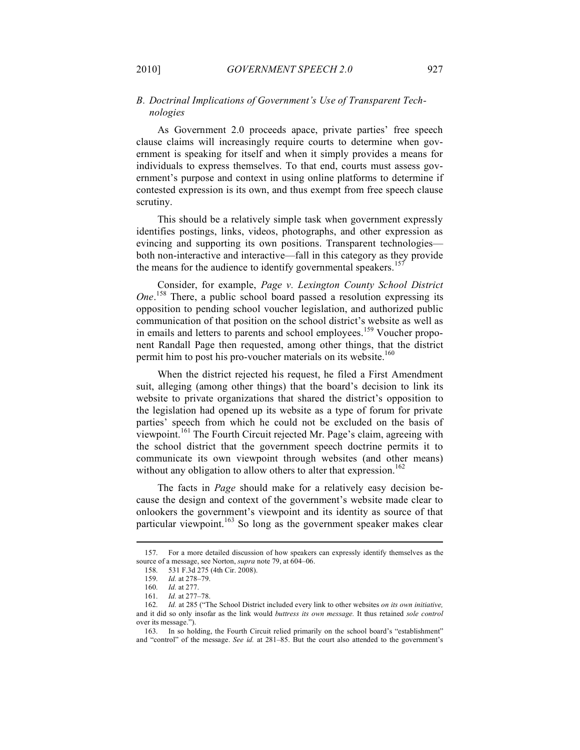#### *B. Doctrinal Implications of Government's Use of Transparent Technologies*

As Government 2.0 proceeds apace, private parties' free speech clause claims will increasingly require courts to determine when government is speaking for itself and when it simply provides a means for individuals to express themselves. To that end, courts must assess government's purpose and context in using online platforms to determine if contested expression is its own, and thus exempt from free speech clause scrutiny.

This should be a relatively simple task when government expressly identifies postings, links, videos, photographs, and other expression as evincing and supporting its own positions. Transparent technologies both non-interactive and interactive—fall in this category as they provide the means for the audience to identify governmental speakers.<sup>15</sup>

Consider, for example, *Page v. Lexington County School District One*. 158 There, a public school board passed a resolution expressing its opposition to pending school voucher legislation, and authorized public communication of that position on the school district's website as well as in emails and letters to parents and school employees.<sup>159</sup> Voucher proponent Randall Page then requested, among other things, that the district permit him to post his pro-voucher materials on its website.<sup>160</sup>

When the district rejected his request, he filed a First Amendment suit, alleging (among other things) that the board's decision to link its website to private organizations that shared the district's opposition to the legislation had opened up its website as a type of forum for private parties' speech from which he could not be excluded on the basis of viewpoint.161 The Fourth Circuit rejected Mr. Page's claim, agreeing with the school district that the government speech doctrine permits it to communicate its own viewpoint through websites (and other means) without any obligation to allow others to alter that expression.<sup>162</sup>

The facts in *Page* should make for a relatively easy decision because the design and context of the government's website made clear to onlookers the government's viewpoint and its identity as source of that particular viewpoint.<sup>163</sup> So long as the government speaker makes clear

<sup>157.</sup> For a more detailed discussion of how speakers can expressly identify themselves as the source of a message, see Norton, *supra* note 79, at 604–06.

<sup>158.</sup> 531 F.3d 275 (4th Cir. 2008).

<sup>159.</sup> *Id.* at 278–79.

<sup>160.</sup> *Id.* at 277.

<sup>161.</sup> *Id.* at 277–78.

<sup>162.</sup> *Id.* at 285 ("The School District included every link to other websites *on its own initiative,* and it did so only insofar as the link would *buttress its own message.* It thus retained *sole control* over its message.").

<sup>163.</sup> In so holding, the Fourth Circuit relied primarily on the school board's "establishment" and "control" of the message. *See id.* at 281–85. But the court also attended to the government's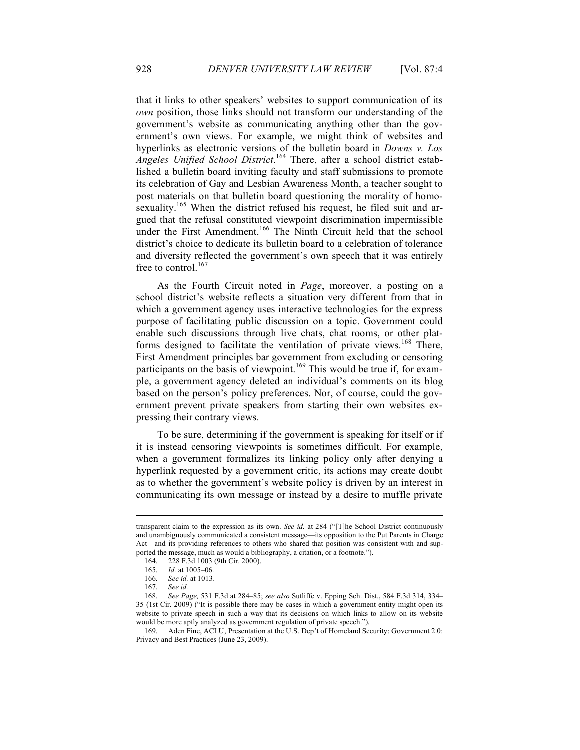that it links to other speakers' websites to support communication of its *own* position, those links should not transform our understanding of the government's website as communicating anything other than the government's own views. For example, we might think of websites and hyperlinks as electronic versions of the bulletin board in *Downs v. Los Angeles Unified School District*. 164 There, after a school district established a bulletin board inviting faculty and staff submissions to promote its celebration of Gay and Lesbian Awareness Month, a teacher sought to post materials on that bulletin board questioning the morality of homosexuality.<sup>165</sup> When the district refused his request, he filed suit and argued that the refusal constituted viewpoint discrimination impermissible under the First Amendment.<sup>166</sup> The Ninth Circuit held that the school district's choice to dedicate its bulletin board to a celebration of tolerance and diversity reflected the government's own speech that it was entirely free to control.<sup>167</sup>

As the Fourth Circuit noted in *Page*, moreover, a posting on a school district's website reflects a situation very different from that in which a government agency uses interactive technologies for the express purpose of facilitating public discussion on a topic. Government could enable such discussions through live chats, chat rooms, or other platforms designed to facilitate the ventilation of private views.<sup>168</sup> There, First Amendment principles bar government from excluding or censoring participants on the basis of viewpoint.<sup>169</sup> This would be true if, for example, a government agency deleted an individual's comments on its blog based on the person's policy preferences. Nor, of course, could the government prevent private speakers from starting their own websites expressing their contrary views.

To be sure, determining if the government is speaking for itself or if it is instead censoring viewpoints is sometimes difficult. For example, when a government formalizes its linking policy only after denying a hyperlink requested by a government critic, its actions may create doubt as to whether the government's website policy is driven by an interest in communicating its own message or instead by a desire to muffle private

transparent claim to the expression as its own. *See id.* at 284 ("[T]he School District continuously and unambiguously communicated a consistent message—its opposition to the Put Parents in Charge Act—and its providing references to others who shared that position was consistent with and supported the message, much as would a bibliography, a citation, or a footnote.").

<sup>164.</sup> 228 F.3d 1003 (9th Cir. 2000).

<sup>165.</sup> *Id.* at 1005–06.

<sup>166.</sup> *See id.* at 1013.

<sup>167.</sup> *See id.*

<sup>168.</sup> *See Page,* 531 F.3d at 284–85; *see also* Sutliffe v. Epping Sch. Dist., 584 F.3d 314, 334– 35 (1st Cir. 2009) ("It is possible there may be cases in which a government entity might open its website to private speech in such a way that its decisions on which links to allow on its website would be more aptly analyzed as government regulation of private speech.").

<sup>169.</sup> Aden Fine, ACLU, Presentation at the U.S. Dep't of Homeland Security: Government 2.0: Privacy and Best Practices (June 23, 2009).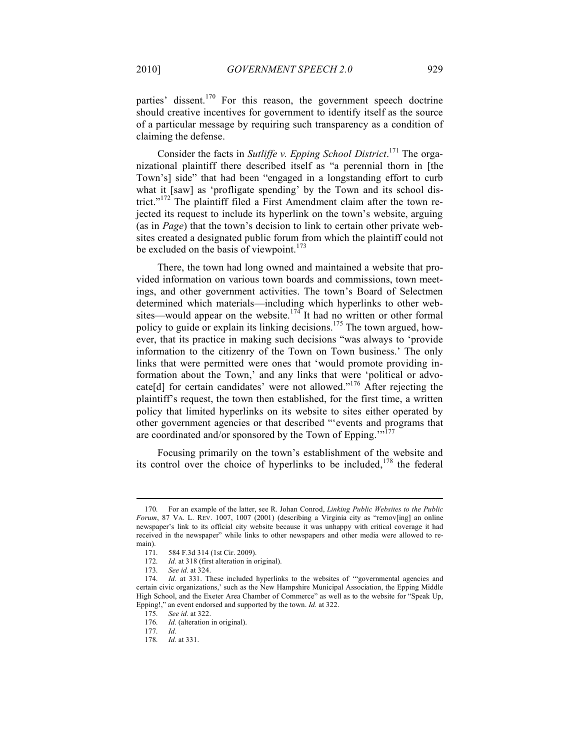parties' dissent.<sup>170</sup> For this reason, the government speech doctrine should creative incentives for government to identify itself as the source of a particular message by requiring such transparency as a condition of claiming the defense.

Consider the facts in *Sutliffe v. Epping School District*. 171 The organizational plaintiff there described itself as "a perennial thorn in [the Town's] side" that had been "engaged in a longstanding effort to curb what it [saw] as 'profligate spending' by the Town and its school district."<sup>172</sup> The plaintiff filed a First Amendment claim after the town rejected its request to include its hyperlink on the town's website, arguing (as in *Page*) that the town's decision to link to certain other private websites created a designated public forum from which the plaintiff could not be excluded on the basis of viewpoint. $173$ 

There, the town had long owned and maintained a website that provided information on various town boards and commissions, town meetings, and other government activities. The town's Board of Selectmen determined which materials—including which hyperlinks to other websites—would appear on the website.<sup>174</sup> It had no written or other formal policy to guide or explain its linking decisions.<sup>175</sup> The town argued, however, that its practice in making such decisions "was always to 'provide information to the citizenry of the Town on Town business.' The only links that were permitted were ones that 'would promote providing information about the Town,' and any links that were 'political or advocate [d] for certain candidates' were not allowed."<sup>176</sup> After rejecting the plaintiff's request, the town then established, for the first time, a written policy that limited hyperlinks on its website to sites either operated by other government agencies or that described "'events and programs that are coordinated and/or sponsored by the Town of Epping."<sup>177</sup>

Focusing primarily on the town's establishment of the website and its control over the choice of hyperlinks to be included,  $178$  the federal

<sup>170.</sup> For an example of the latter, see R. Johan Conrod, *Linking Public Websites to the Public Forum*, 87 VA. L. REV. 1007, 1007 (2001) (describing a Virginia city as "remov[ing] an online newspaper's link to its official city website because it was unhappy with critical coverage it had received in the newspaper" while links to other newspapers and other media were allowed to remain).

<sup>171.</sup> 584 F.3d 314 (1st Cir. 2009).

<sup>172.</sup> *Id.* at 318 (first alteration in original).

<sup>173.</sup> *See id.* at 324.

<sup>174.</sup> *Id.* at 331. These included hyperlinks to the websites of "governmental agencies and certain civic organizations,' such as the New Hampshire Municipal Association, the Epping Middle High School, and the Exeter Area Chamber of Commerce" as well as to the website for "Speak Up, Epping!," an event endorsed and supported by the town. *Id.* at 322.

<sup>175.</sup> *See id.* at 322.

<sup>176.</sup> *Id.* (alteration in original).

<sup>177.</sup> *Id.*

<sup>178.</sup> *Id.* at 331.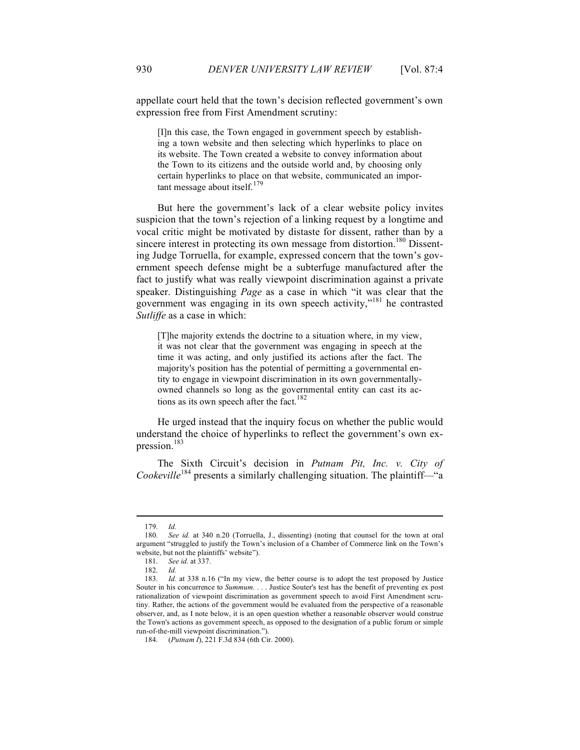appellate court held that the town's decision reflected government's own expression free from First Amendment scrutiny:

[I]n this case, the Town engaged in government speech by establishing a town website and then selecting which hyperlinks to place on its website. The Town created a website to convey information about the Town to its citizens and the outside world and, by choosing only certain hyperlinks to place on that website, communicated an important message about itself. $17$ 

But here the government's lack of a clear website policy invites suspicion that the town's rejection of a linking request by a longtime and vocal critic might be motivated by distaste for dissent, rather than by a sincere interest in protecting its own message from distortion.<sup>180</sup> Dissenting Judge Torruella, for example, expressed concern that the town's government speech defense might be a subterfuge manufactured after the fact to justify what was really viewpoint discrimination against a private speaker. Distinguishing *Page* as a case in which "it was clear that the government was engaging in its own speech activity,"181 he contrasted *Sutliffe* as a case in which:

[T]he majority extends the doctrine to a situation where, in my view, it was not clear that the government was engaging in speech at the time it was acting, and only justified its actions after the fact. The majority's position has the potential of permitting a governmental entity to engage in viewpoint discrimination in its own governmentallyowned channels so long as the governmental entity can cast its actions as its own speech after the fact.<sup>182</sup>

He urged instead that the inquiry focus on whether the public would understand the choice of hyperlinks to reflect the government's own expression.183

The Sixth Circuit's decision in *Putnam Pit, Inc. v. City of Cookeville*<sup>184</sup> presents a similarly challenging situation. The plaintiff—"a"

<sup>179.</sup> *Id.*

See id. at 340 n.20 (Torruella, J., dissenting) (noting that counsel for the town at oral argument "struggled to justify the Town's inclusion of a Chamber of Commerce link on the Town's website, but not the plaintiffs' website").

<sup>181.</sup> *See id.* at 337.

<sup>182.</sup> *Id.*

<sup>183.</sup> *Id.* at 338 n.16 ("In my view, the better course is to adopt the test proposed by Justice Souter in his concurrence to *Summum*. . . . Justice Souter's test has the benefit of preventing ex post rationalization of viewpoint discrimination as government speech to avoid First Amendment scrutiny. Rather, the actions of the government would be evaluated from the perspective of a reasonable observer, and, as I note below, it is an open question whether a reasonable observer would construe the Town's actions as government speech, as opposed to the designation of a public forum or simple run-of-the-mill viewpoint discrimination.").

<sup>184.</sup> (*Putnam I*), 221 F.3d 834 (6th Cir. 2000).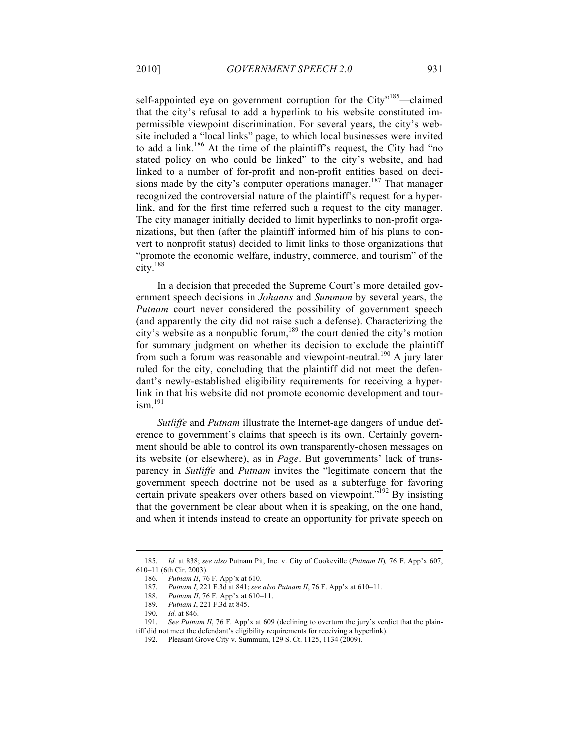self-appointed eye on government corruption for the City"<sup>185</sup>—claimed that the city's refusal to add a hyperlink to his website constituted impermissible viewpoint discrimination. For several years, the city's website included a "local links" page, to which local businesses were invited to add a link.<sup>186</sup> At the time of the plaintiff's request, the City had "no stated policy on who could be linked" to the city's website, and had linked to a number of for-profit and non-profit entities based on decisions made by the city's computer operations manager.<sup>187</sup> That manager recognized the controversial nature of the plaintiff's request for a hyperlink, and for the first time referred such a request to the city manager. The city manager initially decided to limit hyperlinks to non-profit organizations, but then (after the plaintiff informed him of his plans to convert to nonprofit status) decided to limit links to those organizations that "promote the economic welfare, industry, commerce, and tourism" of the city. 188

In a decision that preceded the Supreme Court's more detailed government speech decisions in *Johanns* and *Summum* by several years, the *Putnam* court never considered the possibility of government speech (and apparently the city did not raise such a defense). Characterizing the city's website as a nonpublic forum,<sup>189</sup> the court denied the city's motion for summary judgment on whether its decision to exclude the plaintiff from such a forum was reasonable and viewpoint-neutral.<sup>190</sup> A jury later ruled for the city, concluding that the plaintiff did not meet the defendant's newly-established eligibility requirements for receiving a hyperlink in that his website did not promote economic development and tour $ism.$ <sup>191</sup>

*Sutliffe* and *Putnam* illustrate the Internet-age dangers of undue deference to government's claims that speech is its own. Certainly government should be able to control its own transparently-chosen messages on its website (or elsewhere), as in *Page*. But governments' lack of transparency in *Sutliffe* and *Putnam* invites the "legitimate concern that the government speech doctrine not be used as a subterfuge for favoring certain private speakers over others based on viewpoint."<sup>192</sup> By insisting that the government be clear about when it is speaking, on the one hand, and when it intends instead to create an opportunity for private speech on

<sup>185.</sup> *Id.* at 838; *see also* Putnam Pit, Inc. v. City of Cookeville (*Putnam II*)*,* 76 F. App'x 607, 610–11 (6th Cir. 2003).

<sup>186.</sup> *Putnam II*, 76 F. App'x at 610.

<sup>187.</sup> *Putnam I*, 221 F.3d at 841; *see also Putnam II*, 76 F. App'x at 610–11.

<sup>188.</sup> *Putnam II*, 76 F. App'x at 610–11.

<sup>189.</sup> *Putnam I*, 221 F.3d at 845.

<sup>190.</sup> *Id.* at 846.

<sup>191.</sup> *See Putnam II*, 76 F. App'x at 609 (declining to overturn the jury's verdict that the plaintiff did not meet the defendant's eligibility requirements for receiving a hyperlink).

<sup>192.</sup> Pleasant Grove City v. Summum, 129 S. Ct. 1125, 1134 (2009).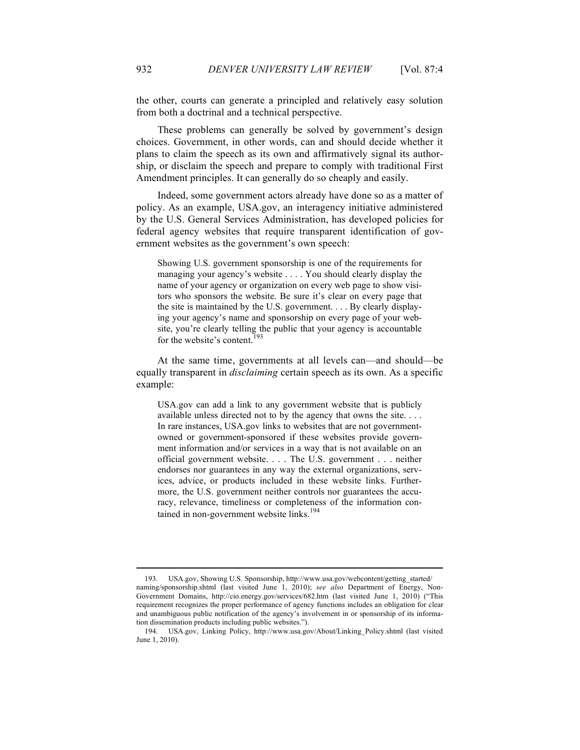the other, courts can generate a principled and relatively easy solution from both a doctrinal and a technical perspective.

These problems can generally be solved by government's design choices. Government, in other words, can and should decide whether it plans to claim the speech as its own and affirmatively signal its authorship, or disclaim the speech and prepare to comply with traditional First Amendment principles. It can generally do so cheaply and easily.

Indeed, some government actors already have done so as a matter of policy. As an example, USA.gov, an interagency initiative administered by the U.S. General Services Administration, has developed policies for federal agency websites that require transparent identification of government websites as the government's own speech:

Showing U.S. government sponsorship is one of the requirements for managing your agency's website . . . . You should clearly display the name of your agency or organization on every web page to show visitors who sponsors the website. Be sure it's clear on every page that the site is maintained by the U.S. government. . . . By clearly displaying your agency's name and sponsorship on every page of your website, you're clearly telling the public that your agency is accountable for the website's content.<sup>193</sup>

At the same time, governments at all levels can—and should—be equally transparent in *disclaiming* certain speech as its own. As a specific example:

USA.gov can add a link to any government website that is publicly available unless directed not to by the agency that owns the site. . . . In rare instances, USA.gov links to websites that are not governmentowned or government-sponsored if these websites provide government information and/or services in a way that is not available on an official government website. . . . The U.S. government . . . neither endorses nor guarantees in any way the external organizations, services, advice, or products included in these website links. Furthermore, the U.S. government neither controls nor guarantees the accuracy, relevance, timeliness or completeness of the information contained in non-government website links.<sup>194</sup>

<sup>193.</sup> USA.gov, Showing U.S. Sponsorship, http://www.usa.gov/webcontent/getting\_started/ naming/sponsorship.shtml (last visited June 1, 2010); *see also* Department of Energy, Non-Government Domains, http://cio.energy.gov/services/682.htm (last visited June 1, 2010) ("This requirement recognizes the proper performance of agency functions includes an obligation for clear and unambiguous public notification of the agency's involvement in or sponsorship of its information dissemination products including public websites.").

<sup>194.</sup> USA.gov, Linking Policy, http://www.usa.gov/About/Linking\_Policy.shtml (last visited June 1, 2010).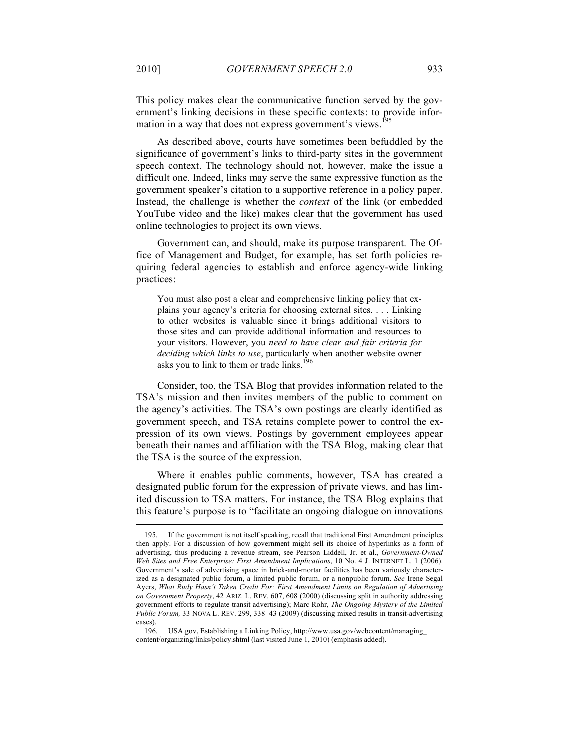This policy makes clear the communicative function served by the government's linking decisions in these specific contexts: to provide information in a way that does not express government's views.<sup>195</sup>

As described above, courts have sometimes been befuddled by the significance of government's links to third-party sites in the government speech context. The technology should not, however, make the issue a difficult one. Indeed, links may serve the same expressive function as the government speaker's citation to a supportive reference in a policy paper. Instead, the challenge is whether the *context* of the link (or embedded YouTube video and the like) makes clear that the government has used online technologies to project its own views.

Government can, and should, make its purpose transparent. The Office of Management and Budget, for example, has set forth policies requiring federal agencies to establish and enforce agency-wide linking practices:

You must also post a clear and comprehensive linking policy that explains your agency's criteria for choosing external sites. . . . Linking to other websites is valuable since it brings additional visitors to those sites and can provide additional information and resources to your visitors. However, you *need to have clear and fair criteria for deciding which links to use*, particularly when another website owner asks you to link to them or trade links.<sup>196</sup>

Consider, too, the TSA Blog that provides information related to the TSA's mission and then invites members of the public to comment on the agency's activities. The TSA's own postings are clearly identified as government speech, and TSA retains complete power to control the expression of its own views. Postings by government employees appear beneath their names and affiliation with the TSA Blog, making clear that the TSA is the source of the expression.

Where it enables public comments, however, TSA has created a designated public forum for the expression of private views, and has limited discussion to TSA matters. For instance, the TSA Blog explains that this feature's purpose is to "facilitate an ongoing dialogue on innovations

<sup>195.</sup> If the government is not itself speaking, recall that traditional First Amendment principles then apply. For a discussion of how government might sell its choice of hyperlinks as a form of advertising, thus producing a revenue stream, see Pearson Liddell, Jr. et al., *Government-Owned Web Sites and Free Enterprise: First Amendment Implications*, 10 No. 4 J. INTERNET L. 1 (2006). Government's sale of advertising space in brick-and-mortar facilities has been variously characterized as a designated public forum, a limited public forum, or a nonpublic forum. *See* Irene Segal Ayers, *What Rudy Hasn't Taken Credit For: First Amendment Limits on Regulation of Advertising on Government Property*, 42 ARIZ. L. REV. 607, 608 (2000) (discussing split in authority addressing government efforts to regulate transit advertising); Marc Rohr, *The Ongoing Mystery of the Limited Public Forum,* 33 NOVA L. REV. 299, 338–43 (2009) (discussing mixed results in transit-advertising cases).

<sup>196.</sup> USA.gov, Establishing a Linking Policy, http://www.usa.gov/webcontent/managing\_ content/organizing/links/policy.shtml (last visited June 1, 2010) (emphasis added).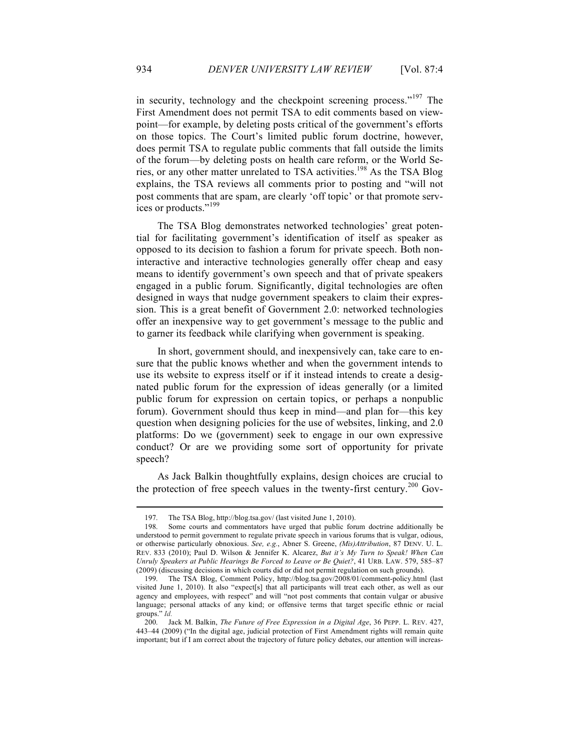in security, technology and the checkpoint screening process."<sup>197</sup> The First Amendment does not permit TSA to edit comments based on viewpoint—for example, by deleting posts critical of the government's efforts on those topics. The Court's limited public forum doctrine, however, does permit TSA to regulate public comments that fall outside the limits of the forum—by deleting posts on health care reform, or the World Series, or any other matter unrelated to TSA activities.198 As the TSA Blog explains, the TSA reviews all comments prior to posting and "will not post comments that are spam, are clearly 'off topic' or that promote services or products."<sup>199</sup>

The TSA Blog demonstrates networked technologies' great potential for facilitating government's identification of itself as speaker as opposed to its decision to fashion a forum for private speech. Both noninteractive and interactive technologies generally offer cheap and easy means to identify government's own speech and that of private speakers engaged in a public forum. Significantly, digital technologies are often designed in ways that nudge government speakers to claim their expression. This is a great benefit of Government 2.0: networked technologies offer an inexpensive way to get government's message to the public and to garner its feedback while clarifying when government is speaking.

In short, government should, and inexpensively can, take care to ensure that the public knows whether and when the government intends to use its website to express itself or if it instead intends to create a designated public forum for the expression of ideas generally (or a limited public forum for expression on certain topics, or perhaps a nonpublic forum). Government should thus keep in mind—and plan for—this key question when designing policies for the use of websites, linking, and 2.0 platforms: Do we (government) seek to engage in our own expressive conduct? Or are we providing some sort of opportunity for private speech?

As Jack Balkin thoughtfully explains, design choices are crucial to the protection of free speech values in the twenty-first century.<sup>200</sup> Gov-

<sup>197.</sup> The TSA Blog, http://blog.tsa.gov/ (last visited June 1, 2010).

<sup>198.</sup> Some courts and commentators have urged that public forum doctrine additionally be understood to permit government to regulate private speech in various forums that is vulgar, odious, or otherwise particularly obnoxious. *See, e.g.*, Abner S. Greene, *(Mis)Attribution*, 87 DENV. U. L. REV. 833 (2010); Paul D. Wilson & Jennifer K. Alcarez, *But it's My Turn to Speak! When Can Unruly Speakers at Public Hearings Be Forced to Leave or Be Quiet?*, 41 URB. LAW. 579, 585–87 (2009) (discussing decisions in which courts did or did not permit regulation on such grounds).

<sup>199.</sup> The TSA Blog, Comment Policy, http://blog.tsa.gov/2008/01/comment-policy.html (last visited June 1, 2010). It also "expect[s] that all participants will treat each other, as well as our agency and employees, with respect" and will "not post comments that contain vulgar or abusive language; personal attacks of any kind; or offensive terms that target specific ethnic or racial groups." *Id.*

<sup>200.</sup> Jack M. Balkin, *The Future of Free Expression in a Digital Age*, 36 PEPP. L. REV. 427, 443–44 (2009) ("In the digital age, judicial protection of First Amendment rights will remain quite important; but if I am correct about the trajectory of future policy debates, our attention will increas-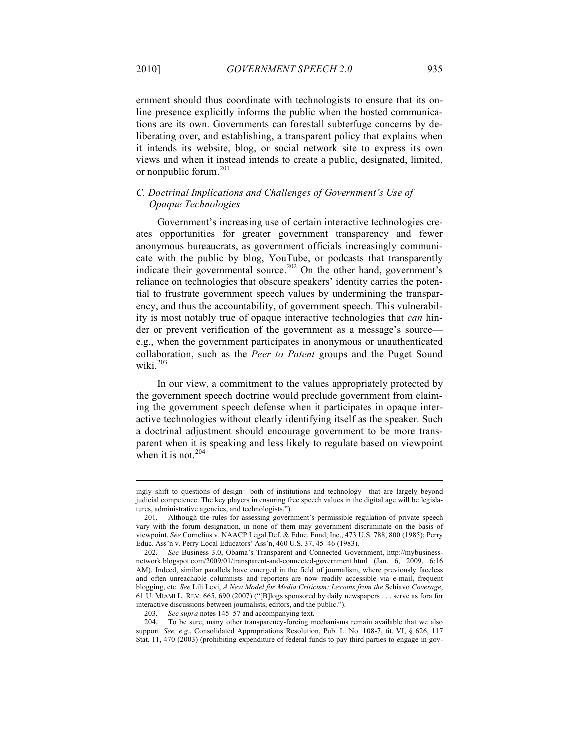ernment should thus coordinate with technologists to ensure that its online presence explicitly informs the public when the hosted communications are its own. Governments can forestall subterfuge concerns by deliberating over, and establishing, a transparent policy that explains when it intends its website, blog, or social network site to express its own views and when it instead intends to create a public, designated, limited, or nonpublic forum.<sup>201</sup>

#### *C. Doctrinal Implications and Challenges of Government's Use of Opaque Technologies*

Government's increasing use of certain interactive technologies creates opportunities for greater government transparency and fewer anonymous bureaucrats, as government officials increasingly communicate with the public by blog, YouTube, or podcasts that transparently indicate their governmental source.<sup>202</sup> On the other hand, government's reliance on technologies that obscure speakers' identity carries the potential to frustrate government speech values by undermining the transparency, and thus the accountability, of government speech. This vulnerability is most notably true of opaque interactive technologies that *can* hinder or prevent verification of the government as a message's source e.g., when the government participates in anonymous or unauthenticated collaboration, such as the *Peer to Patent* groups and the Puget Sound wiki<sup>203</sup>

In our view, a commitment to the values appropriately protected by the government speech doctrine would preclude government from claiming the government speech defense when it participates in opaque interactive technologies without clearly identifying itself as the speaker. Such a doctrinal adjustment should encourage government to be more transparent when it is speaking and less likely to regulate based on viewpoint when it is not.<sup>204</sup>

ingly shift to questions of design—both of institutions and technology—that are largely beyond judicial competence. The key players in ensuring free speech values in the digital age will be legislatures, administrative agencies, and technologists.").

<sup>201.</sup> Although the rules for assessing government's permissible regulation of private speech vary with the forum designation, in none of them may government discriminate on the basis of viewpoint. *See* Cornelius v. NAACP Legal Def. & Educ. Fund, Inc., 473 U.S. 788, 800 (1985); Perry Educ. Ass'n v. Perry Local Educators' Ass'n, 460 U.S. 37, 45–46 (1983).

<sup>202.</sup> *See* Business 3.0, Obama's Transparent and Connected Government, http://mybusinessnetwork.blogspot.com/2009/01/transparent-and-connected-government.html (Jan. 6, 2009, 6:16 AM). Indeed, similar parallels have emerged in the field of journalism, where previously faceless and often unreachable columnists and reporters are now readily accessible via e-mail, frequent blogging, etc. *See* Lili Levi, *A New Model for Media Criticism: Lessons from the* Schiavo *Coverage*, 61 U. MIAMI L. REV. 665, 690 (2007) ("[B]logs sponsored by daily newspapers . . . serve as fora for interactive discussions between journalists, editors, and the public.").

<sup>203.</sup> *See supra* notes 145–57 and accompanying text.

<sup>204.</sup> To be sure, many other transparency-forcing mechanisms remain available that we also support. *See, e.g.*, Consolidated Appropriations Resolution, Pub. L. No. 108-7, tit. VI, § 626, 117 Stat. 11, 470 (2003) (prohibiting expenditure of federal funds to pay third parties to engage in gov-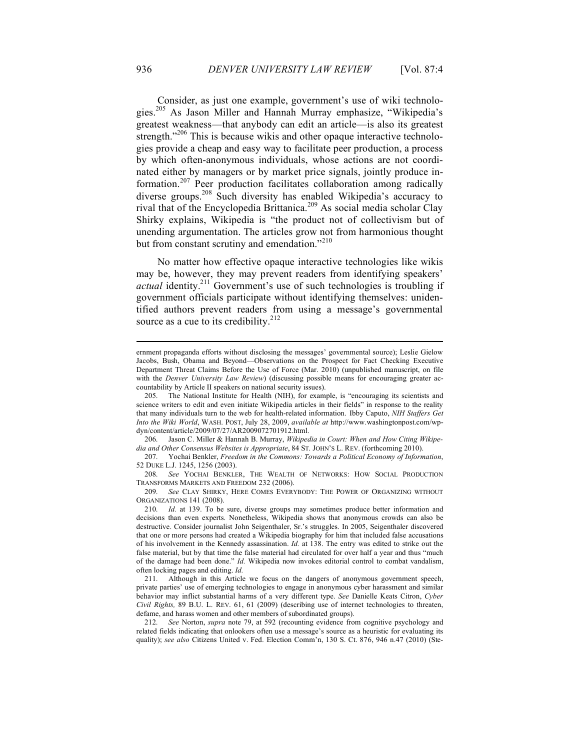Consider, as just one example, government's use of wiki technologies.205 As Jason Miller and Hannah Murray emphasize, "Wikipedia's greatest weakness—that anybody can edit an article—is also its greatest strength."<sup>206</sup> This is because wikis and other opaque interactive technologies provide a cheap and easy way to facilitate peer production, a process by which often-anonymous individuals, whose actions are not coordinated either by managers or by market price signals, jointly produce information.<sup>207</sup> Peer production facilitates collaboration among radically diverse groups.<sup>208</sup> Such diversity has enabled Wikipedia's accuracy to rival that of the Encyclopedia Brittanica.<sup>209</sup> As social media scholar Clay Shirky explains, Wikipedia is "the product not of collectivism but of unending argumentation. The articles grow not from harmonious thought but from constant scrutiny and emendation."<sup>210</sup>

No matter how effective opaque interactive technologies like wikis may be, however, they may prevent readers from identifying speakers' *actual* identity.<sup>211</sup> Government's use of such technologies is troubling if government officials participate without identifying themselves: unidentified authors prevent readers from using a message's governmental source as a cue to its credibility.<sup>212</sup>

ernment propaganda efforts without disclosing the messages' governmental source); Leslie Gielow Jacobs, Bush, Obama and Beyond—Observations on the Prospect for Fact Checking Executive Department Threat Claims Before the Use of Force (Mar. 2010) (unpublished manuscript, on file with the *Denver University Law Review*) (discussing possible means for encouraging greater accountability by Article II speakers on national security issues).

<sup>205.</sup> The National Institute for Health (NIH), for example, is "encouraging its scientists and science writers to edit and even initiate Wikipedia articles in their fields" in response to the reality that many individuals turn to the web for health-related information. Ibby Caputo, *NIH Staffers Get Into the Wiki World*, WASH. POST, July 28, 2009, *available at* http://www.washingtonpost.com/wpdyn/content/article/2009/07/27/AR2009072701912.html.

<sup>206.</sup> Jason C. Miller & Hannah B. Murray, *Wikipedia in Court: When and How Citing Wikipedia and Other Consensus Websites is Appropriate*, 84 ST. JOHN'S L. REV. (forthcoming 2010).

<sup>207.</sup> Yochai Benkler, *Freedom in the Commons: Towards a Political Economy of Information*, 52 DUKE L.J. 1245, 1256 (2003).

<sup>208.</sup> *See* YOCHAI BENKLER, THE WEALTH OF NETWORKS: HOW SOCIAL PRODUCTION TRANSFORMS MARKETS AND FREEDOM 232 (2006).

<sup>209.</sup> *See* CLAY SHIRKY, HERE COMES EVERYBODY: THE POWER OF ORGANIZING WITHOUT ORGANIZATIONS 141 (2008).

<sup>210.</sup> *Id.* at 139. To be sure, diverse groups may sometimes produce better information and decisions than even experts. Nonetheless, Wikipedia shows that anonymous crowds can also be destructive. Consider journalist John Seigenthaler, Sr.'s struggles. In 2005, Seigenthaler discovered that one or more persons had created a Wikipedia biography for him that included false accusations of his involvement in the Kennedy assassination. *Id.* at 138. The entry was edited to strike out the false material, but by that time the false material had circulated for over half a year and thus "much of the damage had been done." *Id.* Wikipedia now invokes editorial control to combat vandalism, often locking pages and editing. *Id.* 

<sup>211.</sup> Although in this Article we focus on the dangers of anonymous government speech, private parties' use of emerging technologies to engage in anonymous cyber harassment and similar behavior may inflict substantial harms of a very different type. *See* Danielle Keats Citron, *Cyber Civil Rights,* 89 B.U. L. REV. 61, 61 (2009) (describing use of internet technologies to threaten, defame, and harass women and other members of subordinated groups).

<sup>212.</sup> *See* Norton, *supra* note 79, at 592 (recounting evidence from cognitive psychology and related fields indicating that onlookers often use a message's source as a heuristic for evaluating its quality); see also Citizens United v. Fed. Election Comm'n, 130 S. Ct. 876, 946 n.47 (2010) (Ste-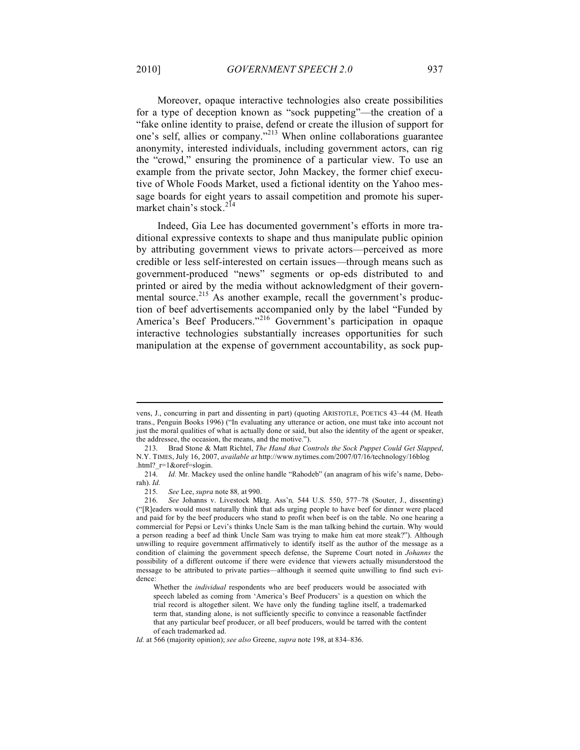Moreover, opaque interactive technologies also create possibilities for a type of deception known as "sock puppeting"—the creation of a "fake online identity to praise, defend or create the illusion of support for one's self, allies or company."<sup>213</sup> When online collaborations guarantee anonymity, interested individuals, including government actors, can rig the "crowd," ensuring the prominence of a particular view. To use an example from the private sector, John Mackey, the former chief executive of Whole Foods Market, used a fictional identity on the Yahoo message boards for eight years to assail competition and promote his supermarket chain's stock.<sup>214</sup>

Indeed, Gia Lee has documented government's efforts in more traditional expressive contexts to shape and thus manipulate public opinion by attributing government views to private actors—perceived as more credible or less self-interested on certain issues—through means such as government-produced "news" segments or op-eds distributed to and printed or aired by the media without acknowledgment of their governmental source.<sup>215</sup> As another example, recall the government's production of beef advertisements accompanied only by the label "Funded by America's Beef Producers."<sup>216</sup> Government's participation in opaque interactive technologies substantially increases opportunities for such manipulation at the expense of government accountability, as sock pup-

vens, J., concurring in part and dissenting in part) (quoting ARISTOTLE, POETICS 43–44 (M. Heath trans., Penguin Books 1996) ("In evaluating any utterance or action, one must take into account not just the moral qualities of what is actually done or said, but also the identity of the agent or speaker, the addressee, the occasion, the means, and the motive.").

<sup>213.</sup> Brad Stone & Matt Richtel, *The Hand that Controls the Sock Puppet Could Get Slapped*, N.Y. TIMES, July 16, 2007, *available at* http://www.nytimes.com/2007/07/16/technology/16blog .html? $r=1$ &oref=slogin.

<sup>214.</sup> *Id.* Mr. Mackey used the online handle "Rahodeb" (an anagram of his wife's name, Deborah). *Id.*

<sup>215.</sup> *See* Lee, *supra* note 88*,* at 990.

<sup>216.</sup> *See* Johanns v. Livestock Mktg. Ass'n*,* 544 U.S. 550, 577–78 (Souter, J., dissenting) ("[R]eaders would most naturally think that ads urging people to have beef for dinner were placed and paid for by the beef producers who stand to profit when beef is on the table. No one hearing a commercial for Pepsi or Levi's thinks Uncle Sam is the man talking behind the curtain. Why would a person reading a beef ad think Uncle Sam was trying to make him eat more steak?"). Although unwilling to require government affirmatively to identify itself as the author of the message as a condition of claiming the government speech defense, the Supreme Court noted in *Johanns* the possibility of a different outcome if there were evidence that viewers actually misunderstood the message to be attributed to private parties—although it seemed quite unwilling to find such evidence:

Whether the *individual* respondents who are beef producers would be associated with speech labeled as coming from 'America's Beef Producers' is a question on which the trial record is altogether silent. We have only the funding tagline itself, a trademarked term that, standing alone, is not sufficiently specific to convince a reasonable factfinder that any particular beef producer, or all beef producers, would be tarred with the content of each trademarked ad.

*Id.* at 566 (majority opinion); *see also* Greene, *supra* note 198, at 834–836.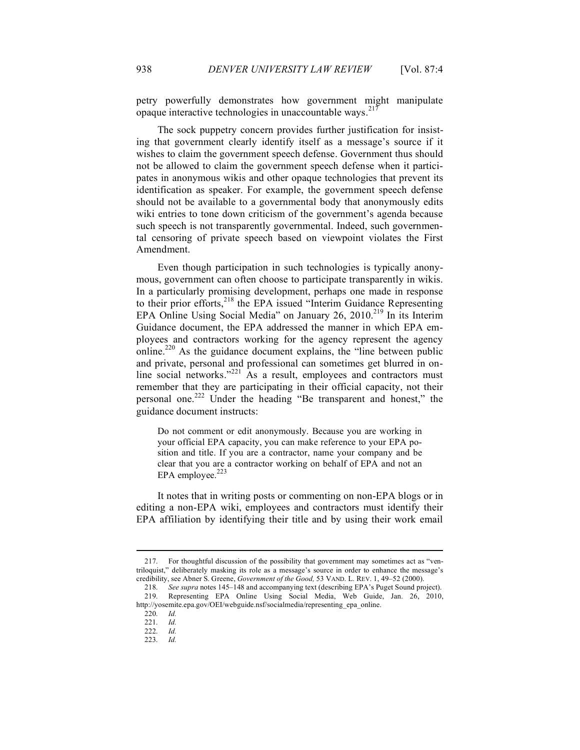petry powerfully demonstrates how government might manipulate opaque interactive technologies in unaccountable ways.<sup>217</sup>

The sock puppetry concern provides further justification for insisting that government clearly identify itself as a message's source if it wishes to claim the government speech defense. Government thus should not be allowed to claim the government speech defense when it participates in anonymous wikis and other opaque technologies that prevent its identification as speaker. For example, the government speech defense should not be available to a governmental body that anonymously edits wiki entries to tone down criticism of the government's agenda because such speech is not transparently governmental. Indeed, such governmental censoring of private speech based on viewpoint violates the First Amendment.

Even though participation in such technologies is typically anonymous, government can often choose to participate transparently in wikis. In a particularly promising development, perhaps one made in response to their prior efforts,<sup>218</sup> the EPA issued "Interim Guidance Representing EPA Online Using Social Media" on January 26, 2010.<sup>219</sup> In its Interim Guidance document, the EPA addressed the manner in which EPA employees and contractors working for the agency represent the agency online.<sup>220</sup> As the guidance document explains, the "line between public and private, personal and professional can sometimes get blurred in online social networks."<sup>221</sup> As a result, employees and contractors must remember that they are participating in their official capacity, not their personal one.222 Under the heading "Be transparent and honest," the guidance document instructs:

Do not comment or edit anonymously. Because you are working in your official EPA capacity, you can make reference to your EPA position and title. If you are a contractor, name your company and be clear that you are a contractor working on behalf of EPA and not an EPA employee.<sup>223</sup>

It notes that in writing posts or commenting on non-EPA blogs or in editing a non-EPA wiki, employees and contractors must identify their EPA affiliation by identifying their title and by using their work email

<sup>217.</sup> For thoughtful discussion of the possibility that government may sometimes act as "ventriloquist," deliberately masking its role as a message's source in order to enhance the message's credibility, see Abner S. Greene, *Government of the Good,* 53 VAND. L. REV. 1, 49–52 (2000).

<sup>218.</sup> *See supra* notes 145–148 and accompanying text (describing EPA's Puget Sound project). 219. Representing EPA Online Using Social Media, Web Guide, Jan. 26, 2010, http://yosemite.epa.gov/OEI/webguide.nsf/socialmedia/representing\_epa\_online.

<sup>220.</sup> *Id.*

<sup>221.</sup> *Id.*

<sup>222.</sup> *Id.*

<sup>223.</sup> *Id.*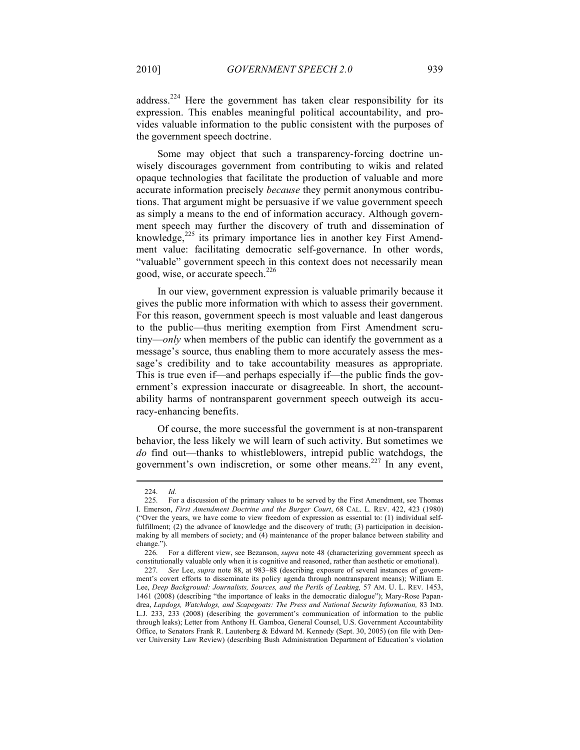address.<sup>224</sup> Here the government has taken clear responsibility for its expression. This enables meaningful political accountability, and provides valuable information to the public consistent with the purposes of the government speech doctrine.

Some may object that such a transparency-forcing doctrine unwisely discourages government from contributing to wikis and related opaque technologies that facilitate the production of valuable and more accurate information precisely *because* they permit anonymous contributions. That argument might be persuasive if we value government speech as simply a means to the end of information accuracy. Although government speech may further the discovery of truth and dissemination of knowledge, $225$  its primary importance lies in another key First Amendment value: facilitating democratic self-governance. In other words, "valuable" government speech in this context does not necessarily mean good, wise, or accurate speech.<sup>226</sup>

In our view, government expression is valuable primarily because it gives the public more information with which to assess their government. For this reason, government speech is most valuable and least dangerous to the public—thus meriting exemption from First Amendment scrutiny—*only* when members of the public can identify the government as a message's source, thus enabling them to more accurately assess the message's credibility and to take accountability measures as appropriate. This is true even if—and perhaps especially if—the public finds the government's expression inaccurate or disagreeable. In short, the accountability harms of nontransparent government speech outweigh its accuracy-enhancing benefits.

Of course, the more successful the government is at non-transparent behavior, the less likely we will learn of such activity. But sometimes we *do* find out—thanks to whistleblowers, intrepid public watchdogs, the government's own indiscretion, or some other means.<sup>227</sup> In any event,

<sup>224.</sup> *Id.*

<sup>225.</sup> For a discussion of the primary values to be served by the First Amendment, see Thomas I. Emerson, *First Amendment Doctrine and the Burger Court*, 68 CAL. L. REV. 422, 423 (1980) ("Over the years, we have come to view freedom of expression as essential to: (1) individual selffulfillment; (2) the advance of knowledge and the discovery of truth; (3) participation in decisionmaking by all members of society; and (4) maintenance of the proper balance between stability and change.").

<sup>226.</sup> For a different view, see Bezanson, *supra* note 48 (characterizing government speech as constitutionally valuable only when it is cognitive and reasoned, rather than aesthetic or emotional).

<sup>227.</sup> *See* Lee, *supra* note 88, at 983–88 (describing exposure of several instances of government's covert efforts to disseminate its policy agenda through nontransparent means); William E. Lee, *Deep Background: Journalists, Sources, and the Perils of Leaking, 57 AM. U. L. REV. 1453,* 1461 (2008) (describing "the importance of leaks in the democratic dialogue"); Mary-Rose Papandrea, *Lapdogs, Watchdogs, and Scapegoats: The Press and National Security Information, 83* IND. L.J. 233, 233 (2008) (describing the government's communication of information to the public through leaks); Letter from Anthony H. Gamboa, General Counsel, U.S. Government Accountability Office, to Senators Frank R. Lautenberg & Edward M. Kennedy (Sept. 30, 2005) (on file with Denver University Law Review) (describing Bush Administration Department of Education's violation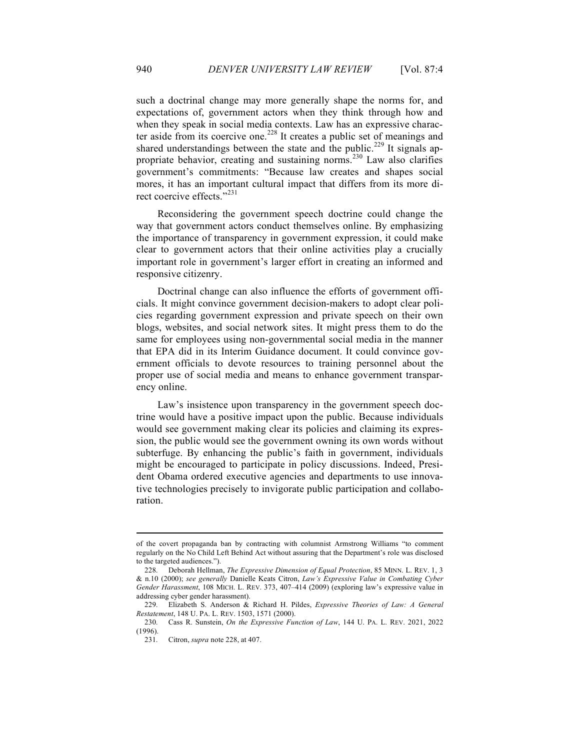such a doctrinal change may more generally shape the norms for, and expectations of, government actors when they think through how and when they speak in social media contexts. Law has an expressive character aside from its coercive one.<sup>228</sup> It creates a public set of meanings and shared understandings between the state and the public.<sup>229</sup> It signals appropriate behavior, creating and sustaining norms.230 Law also clarifies government's commitments: "Because law creates and shapes social mores, it has an important cultural impact that differs from its more direct coercive effects."<sup>231</sup>

Reconsidering the government speech doctrine could change the way that government actors conduct themselves online. By emphasizing the importance of transparency in government expression, it could make clear to government actors that their online activities play a crucially important role in government's larger effort in creating an informed and responsive citizenry.

Doctrinal change can also influence the efforts of government officials. It might convince government decision-makers to adopt clear policies regarding government expression and private speech on their own blogs, websites, and social network sites. It might press them to do the same for employees using non-governmental social media in the manner that EPA did in its Interim Guidance document. It could convince government officials to devote resources to training personnel about the proper use of social media and means to enhance government transparency online.

Law's insistence upon transparency in the government speech doctrine would have a positive impact upon the public. Because individuals would see government making clear its policies and claiming its expression, the public would see the government owning its own words without subterfuge. By enhancing the public's faith in government, individuals might be encouraged to participate in policy discussions. Indeed, President Obama ordered executive agencies and departments to use innovative technologies precisely to invigorate public participation and collaboration.

of the covert propaganda ban by contracting with columnist Armstrong Williams "to comment regularly on the No Child Left Behind Act without assuring that the Department's role was disclosed to the targeted audiences.").

<sup>228.</sup> Deborah Hellman, *The Expressive Dimension of Equal Protection*, 85 MINN. L. REV. 1, 3 & n.10 (2000); *see generally* Danielle Keats Citron, *Law's Expressive Value in Combating Cyber Gender Harassment*, 108 MICH. L. REV. 373, 407–414 (2009) (exploring law's expressive value in addressing cyber gender harassment).

<sup>229.</sup> Elizabeth S. Anderson & Richard H. Pildes, *Expressive Theories of Law: A General Restatement*, 148 U. PA. L. REV. 1503, 1571 (2000).

<sup>230.</sup> Cass R. Sunstein, *On the Expressive Function of Law*, 144 U. PA. L. REV. 2021, 2022 (1996).

<sup>231.</sup> Citron, *supra* note 228, at 407.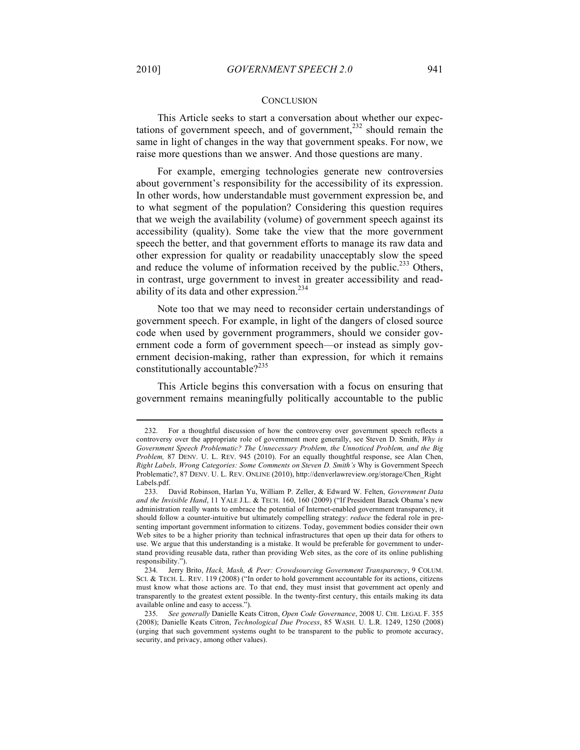#### **CONCLUSION**

This Article seeks to start a conversation about whether our expectations of government speech, and of government, $^{232}$  should remain the same in light of changes in the way that government speaks. For now, we raise more questions than we answer. And those questions are many.

For example, emerging technologies generate new controversies about government's responsibility for the accessibility of its expression. In other words, how understandable must government expression be, and to what segment of the population? Considering this question requires that we weigh the availability (volume) of government speech against its accessibility (quality). Some take the view that the more government speech the better, and that government efforts to manage its raw data and other expression for quality or readability unacceptably slow the speed and reduce the volume of information received by the public.<sup>233</sup> Others, in contrast, urge government to invest in greater accessibility and readability of its data and other expression.<sup>234</sup>

Note too that we may need to reconsider certain understandings of government speech. For example, in light of the dangers of closed source code when used by government programmers, should we consider government code a form of government speech—or instead as simply government decision-making, rather than expression, for which it remains constitutionally accountable? $2^{235}$ 

This Article begins this conversation with a focus on ensuring that government remains meaningfully politically accountable to the public

<sup>232.</sup> For a thoughtful discussion of how the controversy over government speech reflects a controversy over the appropriate role of government more generally, see Steven D. Smith, *Why is Government Speech Problematic? The Unnecessary Problem, the Unnoticed Problem, and the Big Problem,* 87 DENV. U. L. REV. 945 (2010). For an equally thoughtful response, see Alan Chen, *Right Labels, Wrong Categories: Some Comments on Steven D. Smith's* Why is Government Speech Problematic?, 87 DENV. U. L. REV. ONLINE (2010), http://denverlawreview.org/storage/Chen\_Right Labels.pdf.

<sup>233.</sup> David Robinson, Harlan Yu, William P. Zeller, & Edward W. Felten, *Government Data and the Invisible Hand*, 11 YALE J.L. & TECH. 160, 160 (2009) ("If President Barack Obama's new administration really wants to embrace the potential of Internet-enabled government transparency, it should follow a counter-intuitive but ultimately compelling strategy: *reduce* the federal role in presenting important government information to citizens. Today, government bodies consider their own Web sites to be a higher priority than technical infrastructures that open up their data for others to use. We argue that this understanding is a mistake. It would be preferable for government to understand providing reusable data, rather than providing Web sites, as the core of its online publishing responsibility.").

<sup>234.</sup> Jerry Brito, *Hack, Mash, & Peer: Crowdsourcing Government Transparency*, 9 COLUM. SCI. & TECH. L. REV. 119 (2008) ("In order to hold government accountable for its actions, citizens must know what those actions are. To that end, they must insist that government act openly and transparently to the greatest extent possible. In the twenty-first century, this entails making its data available online and easy to access.").

<sup>235.</sup> *See generally* Danielle Keats Citron, *Open Code Governance*, 2008 U. CHI. LEGAL F. 355 (2008); Danielle Keats Citron, *Technological Due Process*, 85 WASH. U. L.R. 1249, 1250 (2008) (urging that such government systems ought to be transparent to the public to promote accuracy, security, and privacy, among other values).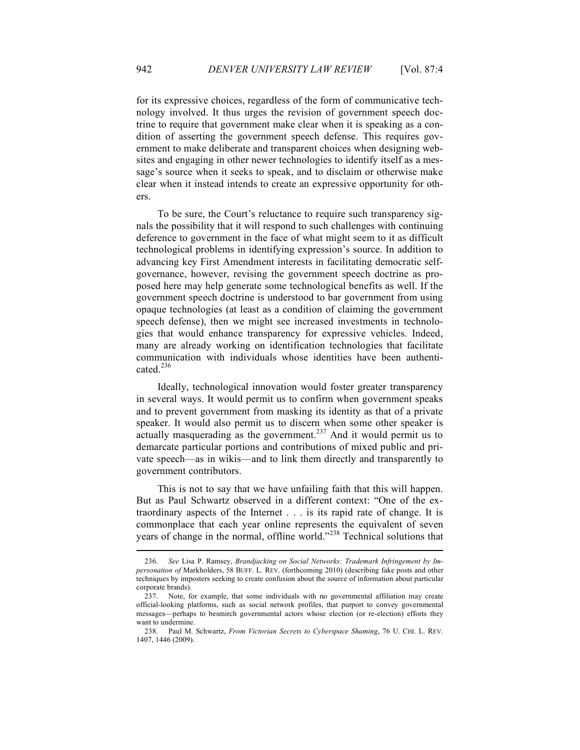for its expressive choices, regardless of the form of communicative technology involved. It thus urges the revision of government speech doctrine to require that government make clear when it is speaking as a condition of asserting the government speech defense. This requires government to make deliberate and transparent choices when designing websites and engaging in other newer technologies to identify itself as a message's source when it seeks to speak, and to disclaim or otherwise make clear when it instead intends to create an expressive opportunity for others.

To be sure, the Court's reluctance to require such transparency signals the possibility that it will respond to such challenges with continuing deference to government in the face of what might seem to it as difficult technological problems in identifying expression's source. In addition to advancing key First Amendment interests in facilitating democratic selfgovernance, however, revising the government speech doctrine as proposed here may help generate some technological benefits as well. If the government speech doctrine is understood to bar government from using opaque technologies (at least as a condition of claiming the government speech defense), then we might see increased investments in technologies that would enhance transparency for expressive vehicles. Indeed, many are already working on identification technologies that facilitate communication with individuals whose identities have been authenticated. $^{236}$ 

Ideally, technological innovation would foster greater transparency in several ways. It would permit us to confirm when government speaks and to prevent government from masking its identity as that of a private speaker. It would also permit us to discern when some other speaker is actually masquerading as the government.<sup>237</sup> And it would permit us to demarcate particular portions and contributions of mixed public and private speech—as in wikis—and to link them directly and transparently to government contributors.

This is not to say that we have unfailing faith that this will happen. But as Paul Schwartz observed in a different context: "One of the extraordinary aspects of the Internet . . . is its rapid rate of change. It is commonplace that each year online represents the equivalent of seven years of change in the normal, offline world."<sup>238</sup> Technical solutions that

<sup>236.</sup> *See* Lisa P. Ramsey, *Brandjacking on Social Networks: Trademark Infringement by Impersonation of* Markholders, 58 BUFF. L. REV. (forthcoming 2010) (describing fake posts and other techniques by imposters seeking to create confusion about the source of information about particular corporate brands).

<sup>237.</sup> Note, for example, that some individuals with no governmental affiliation may create official-looking platforms, such as social network profiles, that purport to convey governmental messages—perhaps to besmirch governmental actors whose election (or re-election) efforts they want to undermine.

<sup>238.</sup> Paul M. Schwartz, *From Victorian Secrets to Cyberspace Shaming*, 76 U. CHI. L. REV. 1407, 1446 (2009).